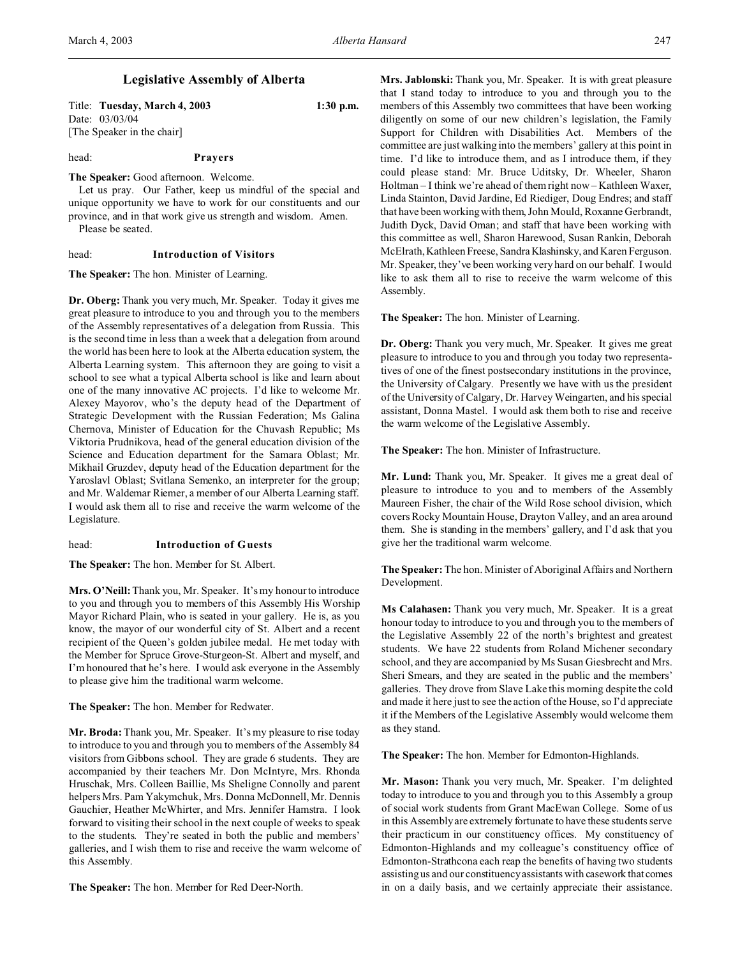# **Legislative Assembly of Alberta**

| Title: Tuesday, March 4, 2003 | $1:30$ p.m. |
|-------------------------------|-------------|
| Date: 03/03/04                |             |
| [The Speaker in the chair]    |             |

head: **Prayers**

**The Speaker:** Good afternoon. Welcome.

Let us pray. Our Father, keep us mindful of the special and unique opportunity we have to work for our constituents and our province, and in that work give us strength and wisdom. Amen.

Please be seated.

#### head: **Introduction of Visitors**

**The Speaker:** The hon. Minister of Learning.

**Dr. Oberg:** Thank you very much, Mr. Speaker. Today it gives me great pleasure to introduce to you and through you to the members of the Assembly representatives of a delegation from Russia. This is the second time in less than a week that a delegation from around the world has been here to look at the Alberta education system, the Alberta Learning system. This afternoon they are going to visit a school to see what a typical Alberta school is like and learn about one of the many innovative AC projects. I'd like to welcome Mr. Alexey Mayorov, who's the deputy head of the Department of Strategic Development with the Russian Federation; Ms Galina Chernova, Minister of Education for the Chuvash Republic; Ms Viktoria Prudnikova, head of the general education division of the Science and Education department for the Samara Oblast; Mr. Mikhail Gruzdev, deputy head of the Education department for the Yaroslavl Oblast; Svitlana Semenko, an interpreter for the group; and Mr. Waldemar Riemer, a member of our Alberta Learning staff. I would ask them all to rise and receive the warm welcome of the Legislature.

### head: **Introduction of Guests**

**The Speaker:** The hon. Member for St. Albert.

**Mrs. O'Neill:**Thank you, Mr. Speaker. It's my honour to introduce to you and through you to members of this Assembly His Worship Mayor Richard Plain, who is seated in your gallery. He is, as you know, the mayor of our wonderful city of St. Albert and a recent recipient of the Queen's golden jubilee medal. He met today with the Member for Spruce Grove-Sturgeon-St. Albert and myself, and I'm honoured that he's here. I would ask everyone in the Assembly to please give him the traditional warm welcome.

**The Speaker:** The hon. Member for Redwater.

**Mr. Broda:** Thank you, Mr. Speaker. It's my pleasure to rise today to introduce to you and through you to members of the Assembly 84 visitors from Gibbons school. They are grade 6 students. They are accompanied by their teachers Mr. Don McIntyre, Mrs. Rhonda Hruschak, Mrs. Colleen Baillie, Ms Sheligne Connolly and parent helpers Mrs. Pam Yakymchuk, Mrs. Donna McDonnell, Mr. Dennis Gauchier, Heather McWhirter, and Mrs. Jennifer Hamstra. I look forward to visiting their school in the next couple of weeks to speak to the students. They're seated in both the public and members' galleries, and I wish them to rise and receive the warm welcome of this Assembly.

**The Speaker:** The hon. Member for Red Deer-North.

**Mrs. Jablonski:** Thank you, Mr. Speaker. It is with great pleasure that I stand today to introduce to you and through you to the members of this Assembly two committees that have been working diligently on some of our new children's legislation, the Family Support for Children with Disabilities Act. Members of the committee are just walking into the members' gallery at this point in time. I'd like to introduce them, and as I introduce them, if they could please stand: Mr. Bruce Uditsky, Dr. Wheeler, Sharon Holtman – I think we're ahead of them right now – Kathleen Waxer, Linda Stainton, David Jardine, Ed Riediger, Doug Endres; and staff that have been working with them, John Mould, Roxanne Gerbrandt, Judith Dyck, David Oman; and staff that have been working with this committee as well, Sharon Harewood, Susan Rankin, Deborah McElrath, Kathleen Freese, Sandra Klashinsky, and Karen Ferguson. Mr. Speaker, they've been working very hard on our behalf. I would like to ask them all to rise to receive the warm welcome of this Assembly.

**The Speaker:** The hon. Minister of Learning.

**Dr. Oberg:** Thank you very much, Mr. Speaker. It gives me great pleasure to introduce to you and through you today two representatives of one of the finest postsecondary institutions in the province, the University of Calgary. Presently we have with us the president of the University of Calgary, Dr. Harvey Weingarten, and his special assistant, Donna Mastel. I would ask them both to rise and receive the warm welcome of the Legislative Assembly.

**The Speaker:** The hon. Minister of Infrastructure.

**Mr. Lund:** Thank you, Mr. Speaker. It gives me a great deal of pleasure to introduce to you and to members of the Assembly Maureen Fisher, the chair of the Wild Rose school division, which covers Rocky Mountain House, Drayton Valley, and an area around them. She is standing in the members' gallery, and I'd ask that you give her the traditional warm welcome.

**The Speaker:** The hon. Minister of Aboriginal Affairs and Northern Development.

**Ms Calahasen:** Thank you very much, Mr. Speaker. It is a great honour today to introduce to you and through you to the members of the Legislative Assembly 22 of the north's brightest and greatest students. We have 22 students from Roland Michener secondary school, and they are accompanied by Ms Susan Giesbrecht and Mrs. Sheri Smears, and they are seated in the public and the members' galleries. They drove from Slave Lake this morning despite the cold and made it here just to see the action of the House, so I'd appreciate it if the Members of the Legislative Assembly would welcome them as they stand.

**The Speaker:** The hon. Member for Edmonton-Highlands.

**Mr. Mason:** Thank you very much, Mr. Speaker. I'm delighted today to introduce to you and through you to this Assembly a group of social work students from Grant MacEwan College. Some of us in this Assembly are extremely fortunate to have these students serve their practicum in our constituency offices. My constituency of Edmonton-Highlands and my colleague's constituency office of Edmonton-Strathcona each reap the benefits of having two students assisting us and our constituency assistants with casework that comes in on a daily basis, and we certainly appreciate their assistance.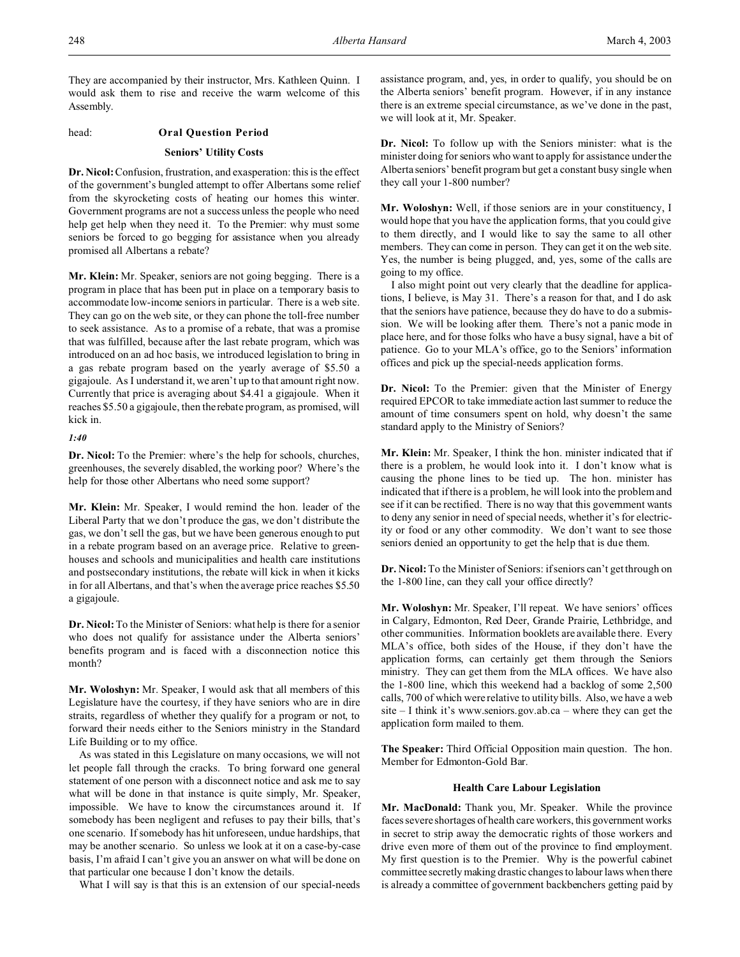They are accompanied by their instructor, Mrs. Kathleen Quinn. I would ask them to rise and receive the warm welcome of this Assembly.

#### head: **Oral Question Period**

#### **Seniors' Utility Costs**

**Dr. Nicol:** Confusion, frustration, and exasperation: this is the effect of the government's bungled attempt to offer Albertans some relief from the skyrocketing costs of heating our homes this winter. Government programs are not a success unless the people who need help get help when they need it. To the Premier: why must some seniors be forced to go begging for assistance when you already promised all Albertans a rebate?

**Mr. Klein:** Mr. Speaker, seniors are not going begging. There is a program in place that has been put in place on a temporary basis to accommodate low-income seniors in particular. There is a web site. They can go on the web site, or they can phone the toll-free number to seek assistance. As to a promise of a rebate, that was a promise that was fulfilled, because after the last rebate program, which was introduced on an ad hoc basis, we introduced legislation to bring in a gas rebate program based on the yearly average of \$5.50 a gigajoule. As I understand it, we aren't up to that amount right now. Currently that price is averaging about \$4.41 a gigajoule. When it reaches \$5.50 a gigajoule, then the rebate program, as promised, will kick in.

## *1:40*

**Dr. Nicol:** To the Premier: where's the help for schools, churches, greenhouses, the severely disabled, the working poor? Where's the help for those other Albertans who need some support?

**Mr. Klein:** Mr. Speaker, I would remind the hon. leader of the Liberal Party that we don't produce the gas, we don't distribute the gas, we don't sell the gas, but we have been generous enough to put in a rebate program based on an average price. Relative to greenhouses and schools and municipalities and health care institutions and postsecondary institutions, the rebate will kick in when it kicks in for all Albertans, and that's when the average price reaches \$5.50 a gigajoule.

**Dr. Nicol:** To the Minister of Seniors: what help is there for a senior who does not qualify for assistance under the Alberta seniors' benefits program and is faced with a disconnection notice this month?

**Mr. Woloshyn:** Mr. Speaker, I would ask that all members of this Legislature have the courtesy, if they have seniors who are in dire straits, regardless of whether they qualify for a program or not, to forward their needs either to the Seniors ministry in the Standard Life Building or to my office.

As was stated in this Legislature on many occasions, we will not let people fall through the cracks. To bring forward one general statement of one person with a disconnect notice and ask me to say what will be done in that instance is quite simply, Mr. Speaker, impossible. We have to know the circumstances around it. If somebody has been negligent and refuses to pay their bills, that's one scenario. If somebody has hit unforeseen, undue hardships, that may be another scenario. So unless we look at it on a case-by-case basis, I'm afraid I can't give you an answer on what will be done on that particular one because I don't know the details.

What I will say is that this is an extension of our special-needs

assistance program, and, yes, in order to qualify, you should be on the Alberta seniors' benefit program. However, if in any instance there is an extreme special circumstance, as we've done in the past, we will look at it, Mr. Speaker.

**Dr. Nicol:** To follow up with the Seniors minister: what is the minister doing for seniors who want to apply for assistance under the Alberta seniors' benefit program but get a constant busy single when they call your 1-800 number?

**Mr. Woloshyn:** Well, if those seniors are in your constituency, I would hope that you have the application forms, that you could give to them directly, and I would like to say the same to all other members. They can come in person. They can get it on the web site. Yes, the number is being plugged, and, yes, some of the calls are going to my office.

I also might point out very clearly that the deadline for applications, I believe, is May 31. There's a reason for that, and I do ask that the seniors have patience, because they do have to do a submission. We will be looking after them. There's not a panic mode in place here, and for those folks who have a busy signal, have a bit of patience. Go to your MLA's office, go to the Seniors' information offices and pick up the special-needs application forms.

**Dr. Nicol:** To the Premier: given that the Minister of Energy required EPCOR to take immediate action last summer to reduce the amount of time consumers spent on hold, why doesn't the same standard apply to the Ministry of Seniors?

**Mr. Klein:** Mr. Speaker, I think the hon. minister indicated that if there is a problem, he would look into it. I don't know what is causing the phone lines to be tied up. The hon. minister has indicated that if there is a problem, he will look into the problem and see if it can be rectified. There is no way that this government wants to deny any senior in need of special needs, whether it's for electricity or food or any other commodity. We don't want to see those seniors denied an opportunity to get the help that is due them.

**Dr. Nicol:** To the Minister of Seniors: if seniors can't get through on the 1-800 line, can they call your office directly?

**Mr. Woloshyn:** Mr. Speaker, I'll repeat. We have seniors' offices in Calgary, Edmonton, Red Deer, Grande Prairie, Lethbridge, and other communities. Information booklets are available there. Every MLA's office, both sides of the House, if they don't have the application forms, can certainly get them through the Seniors ministry. They can get them from the MLA offices. We have also the 1-800 line, which this weekend had a backlog of some 2,500 calls, 700 of which were relative to utility bills. Also, we have a web site – I think it's www.seniors.gov.ab.ca – where they can get the application form mailed to them.

**The Speaker:** Third Official Opposition main question. The hon. Member for Edmonton-Gold Bar.

### **Health Care Labour Legislation**

**Mr. MacDonald:** Thank you, Mr. Speaker. While the province faces severe shortages of health care workers, this government works in secret to strip away the democratic rights of those workers and drive even more of them out of the province to find employment. My first question is to the Premier. Why is the powerful cabinet committee secretly making drastic changes to labour laws when there is already a committee of government backbenchers getting paid by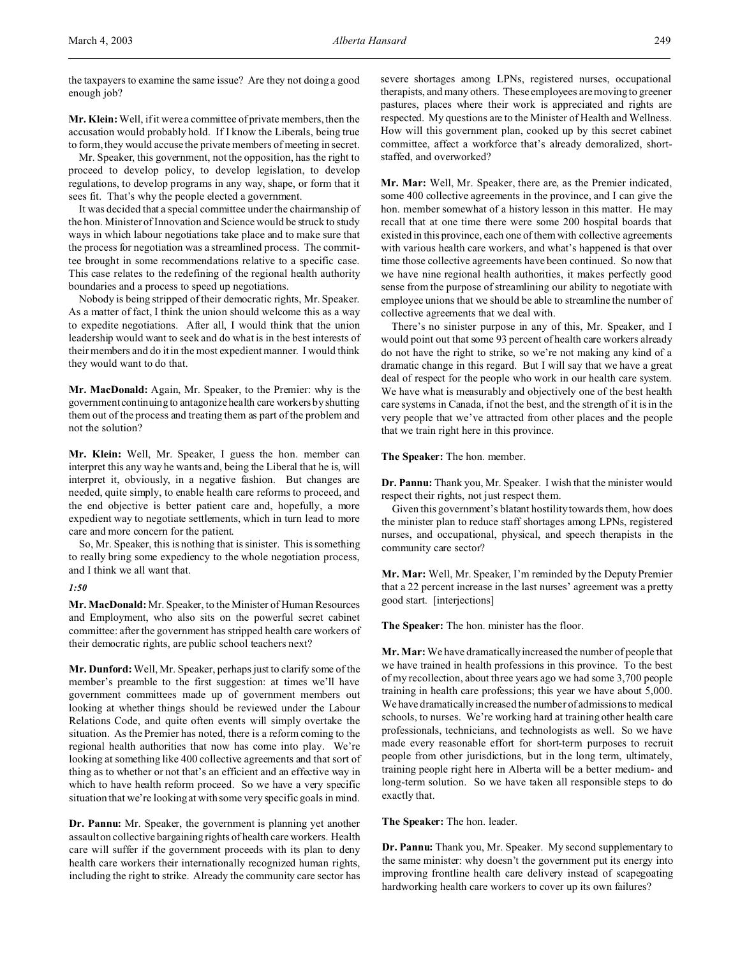the taxpayers to examine the same issue? Are they not doing a good enough job?

**Mr. Klein:** Well, if it were a committee of private members, then the accusation would probably hold. If I know the Liberals, being true to form, they would accuse the private members of meeting in secret.

Mr. Speaker, this government, not the opposition, has the right to proceed to develop policy, to develop legislation, to develop regulations, to develop programs in any way, shape, or form that it sees fit. That's why the people elected a government.

It was decided that a special committee under the chairmanship of the hon. Minister of Innovation and Science would be struck to study ways in which labour negotiations take place and to make sure that the process for negotiation was a streamlined process. The committee brought in some recommendations relative to a specific case. This case relates to the redefining of the regional health authority boundaries and a process to speed up negotiations.

Nobody is being stripped of their democratic rights, Mr. Speaker. As a matter of fact, I think the union should welcome this as a way to expedite negotiations. After all, I would think that the union leadership would want to seek and do what is in the best interests of their members and do it in the most expedient manner. I would think they would want to do that.

**Mr. MacDonald:** Again, Mr. Speaker, to the Premier: why is the government continuing to antagonize health care workers by shutting them out of the process and treating them as part of the problem and not the solution?

**Mr. Klein:** Well, Mr. Speaker, I guess the hon. member can interpret this any way he wants and, being the Liberal that he is, will interpret it, obviously, in a negative fashion. But changes are needed, quite simply, to enable health care reforms to proceed, and the end objective is better patient care and, hopefully, a more expedient way to negotiate settlements, which in turn lead to more care and more concern for the patient.

So, Mr. Speaker, this is nothing that is sinister. This is something to really bring some expediency to the whole negotiation process, and I think we all want that.

#### *1:50*

**Mr. MacDonald:** Mr. Speaker, to the Minister of Human Resources and Employment, who also sits on the powerful secret cabinet committee: after the government has stripped health care workers of their democratic rights, are public school teachers next?

**Mr. Dunford:** Well, Mr. Speaker, perhaps just to clarify some of the member's preamble to the first suggestion: at times we'll have government committees made up of government members out looking at whether things should be reviewed under the Labour Relations Code, and quite often events will simply overtake the situation. As the Premier has noted, there is a reform coming to the regional health authorities that now has come into play. We're looking at something like 400 collective agreements and that sort of thing as to whether or not that's an efficient and an effective way in which to have health reform proceed. So we have a very specific situation that we're looking at with some very specific goals in mind.

**Dr. Pannu:** Mr. Speaker, the government is planning yet another assault on collective bargaining rights of health care workers. Health care will suffer if the government proceeds with its plan to deny health care workers their internationally recognized human rights, including the right to strike. Already the community care sector has severe shortages among LPNs, registered nurses, occupational therapists, and many others. These employees are moving to greener pastures, places where their work is appreciated and rights are respected. My questions are to the Minister of Health and Wellness. How will this government plan, cooked up by this secret cabinet committee, affect a workforce that's already demoralized, shortstaffed, and overworked?

**Mr. Mar:** Well, Mr. Speaker, there are, as the Premier indicated, some 400 collective agreements in the province, and I can give the hon. member somewhat of a history lesson in this matter. He may recall that at one time there were some 200 hospital boards that existed in this province, each one of them with collective agreements with various health care workers, and what's happened is that over time those collective agreements have been continued. So now that we have nine regional health authorities, it makes perfectly good sense from the purpose of streamlining our ability to negotiate with employee unions that we should be able to streamline the number of collective agreements that we deal with.

There's no sinister purpose in any of this, Mr. Speaker, and I would point out that some 93 percent of health care workers already do not have the right to strike, so we're not making any kind of a dramatic change in this regard. But I will say that we have a great deal of respect for the people who work in our health care system. We have what is measurably and objectively one of the best health care systems in Canada, if not the best, and the strength of it is in the very people that we've attracted from other places and the people that we train right here in this province.

**The Speaker:** The hon. member.

**Dr. Pannu:** Thank you, Mr. Speaker. I wish that the minister would respect their rights, not just respect them.

Given this government's blatant hostility towards them, how does the minister plan to reduce staff shortages among LPNs, registered nurses, and occupational, physical, and speech therapists in the community care sector?

**Mr. Mar:** Well, Mr. Speaker, I'm reminded by the Deputy Premier that a 22 percent increase in the last nurses' agreement was a pretty good start. [interjections]

**The Speaker:** The hon. minister has the floor.

**Mr. Mar:** We have dramatically increased the number of people that we have trained in health professions in this province. To the best of my recollection, about three years ago we had some 3,700 people training in health care professions; this year we have about 5,000. We have dramatically increased the number of admissions to medical schools, to nurses. We're working hard at training other health care professionals, technicians, and technologists as well. So we have made every reasonable effort for short-term purposes to recruit people from other jurisdictions, but in the long term, ultimately, training people right here in Alberta will be a better medium- and long-term solution. So we have taken all responsible steps to do exactly that.

**The Speaker:** The hon. leader.

**Dr. Pannu:** Thank you, Mr. Speaker. My second supplementary to the same minister: why doesn't the government put its energy into improving frontline health care delivery instead of scapegoating hardworking health care workers to cover up its own failures?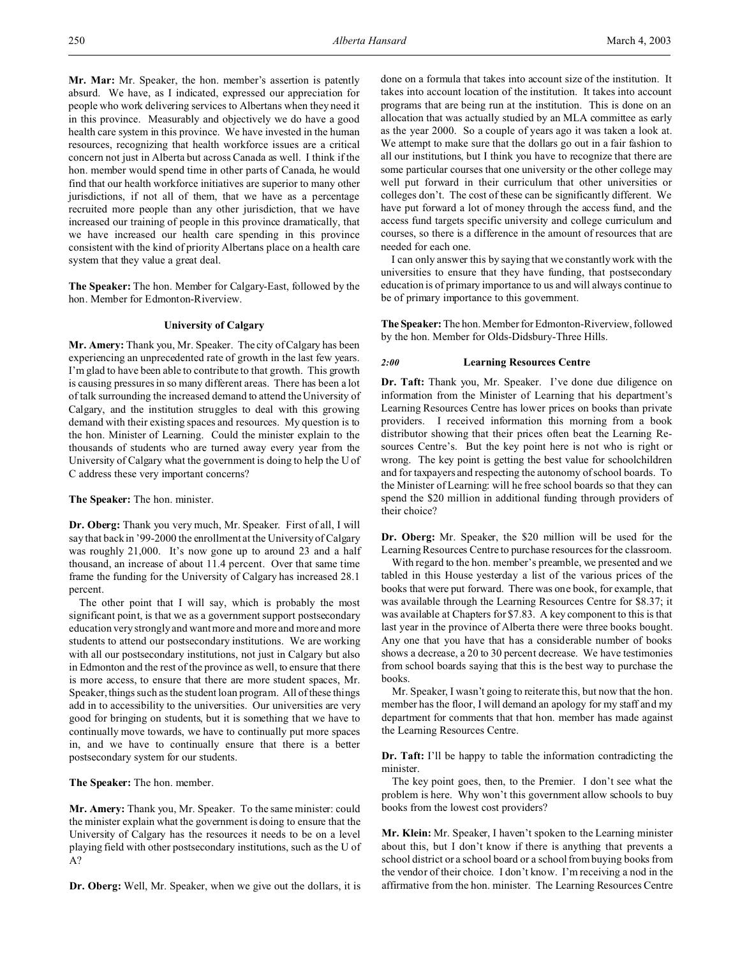**Mr. Mar:** Mr. Speaker, the hon. member's assertion is patently absurd. We have, as I indicated, expressed our appreciation for people who work delivering services to Albertans when they need it in this province. Measurably and objectively we do have a good health care system in this province. We have invested in the human resources, recognizing that health workforce issues are a critical concern not just in Alberta but across Canada as well. I think if the hon. member would spend time in other parts of Canada, he would find that our health workforce initiatives are superior to many other jurisdictions, if not all of them, that we have as a percentage recruited more people than any other jurisdiction, that we have increased our training of people in this province dramatically, that we have increased our health care spending in this province consistent with the kind of priority Albertans place on a health care system that they value a great deal.

**The Speaker:** The hon. Member for Calgary-East, followed by the hon. Member for Edmonton-Riverview.

## **University of Calgary**

**Mr. Amery:** Thank you, Mr. Speaker. The city of Calgary has been experiencing an unprecedented rate of growth in the last few years. I'm glad to have been able to contribute to that growth. This growth is causing pressures in so many different areas. There has been a lot of talk surrounding the increased demand to attend the University of Calgary, and the institution struggles to deal with this growing demand with their existing spaces and resources. My question is to the hon. Minister of Learning. Could the minister explain to the thousands of students who are turned away every year from the University of Calgary what the government is doing to help the U of C address these very important concerns?

**The Speaker:** The hon. minister.

**Dr. Oberg:** Thank you very much, Mr. Speaker. First of all, I will say that back in '99-2000 the enrollment at the University of Calgary was roughly 21,000. It's now gone up to around 23 and a half thousand, an increase of about 11.4 percent. Over that same time frame the funding for the University of Calgary has increased 28.1 percent.

The other point that I will say, which is probably the most significant point, is that we as a government support postsecondary education very strongly and want more and more and more and more students to attend our postsecondary institutions. We are working with all our postsecondary institutions, not just in Calgary but also in Edmonton and the rest of the province as well, to ensure that there is more access, to ensure that there are more student spaces, Mr. Speaker, things such as the student loan program. All of these things add in to accessibility to the universities. Our universities are very good for bringing on students, but it is something that we have to continually move towards, we have to continually put more spaces in, and we have to continually ensure that there is a better postsecondary system for our students.

**The Speaker:** The hon. member.

**Mr. Amery:** Thank you, Mr. Speaker. To the same minister: could the minister explain what the government is doing to ensure that the University of Calgary has the resources it needs to be on a level playing field with other postsecondary institutions, such as the U of A?

**Dr. Oberg:** Well, Mr. Speaker, when we give out the dollars, it is

done on a formula that takes into account size of the institution. It takes into account location of the institution. It takes into account programs that are being run at the institution. This is done on an allocation that was actually studied by an MLA committee as early as the year 2000. So a couple of years ago it was taken a look at. We attempt to make sure that the dollars go out in a fair fashion to all our institutions, but I think you have to recognize that there are some particular courses that one university or the other college may well put forward in their curriculum that other universities or colleges don't. The cost of these can be significantly different. We have put forward a lot of money through the access fund, and the access fund targets specific university and college curriculum and courses, so there is a difference in the amount of resources that are needed for each one.

I can only answer this by saying that we constantly work with the universities to ensure that they have funding, that postsecondary education is of primary importance to us and will always continue to be of primary importance to this government.

**The Speaker:** The hon. Member for Edmonton-Riverview, followed by the hon. Member for Olds-Didsbury-Three Hills.

#### *2:00* **Learning Resources Centre**

**Dr. Taft:** Thank you, Mr. Speaker. I've done due diligence on information from the Minister of Learning that his department's Learning Resources Centre has lower prices on books than private providers. I received information this morning from a book distributor showing that their prices often beat the Learning Resources Centre's. But the key point here is not who is right or wrong. The key point is getting the best value for schoolchildren and for taxpayers and respecting the autonomy of school boards. To the Minister of Learning: will he free school boards so that they can spend the \$20 million in additional funding through providers of their choice?

**Dr. Oberg:** Mr. Speaker, the \$20 million will be used for the Learning Resources Centre to purchase resources for the classroom.

With regard to the hon. member's preamble, we presented and we tabled in this House yesterday a list of the various prices of the books that were put forward. There was one book, for example, that was available through the Learning Resources Centre for \$8.37; it was available at Chapters for \$7.83. A key component to this is that last year in the province of Alberta there were three books bought. Any one that you have that has a considerable number of books shows a decrease, a 20 to 30 percent decrease. We have testimonies from school boards saying that this is the best way to purchase the books.

Mr. Speaker, I wasn't going to reiterate this, but now that the hon. member has the floor, I will demand an apology for my staff and my department for comments that that hon. member has made against the Learning Resources Centre.

**Dr. Taft:** I'll be happy to table the information contradicting the minister.

The key point goes, then, to the Premier. I don't see what the problem is here. Why won't this government allow schools to buy books from the lowest cost providers?

**Mr. Klein:** Mr. Speaker, I haven't spoken to the Learning minister about this, but I don't know if there is anything that prevents a school district or a school board or a school from buying books from the vendor of their choice. I don't know. I'm receiving a nod in the affirmative from the hon. minister. The Learning Resources Centre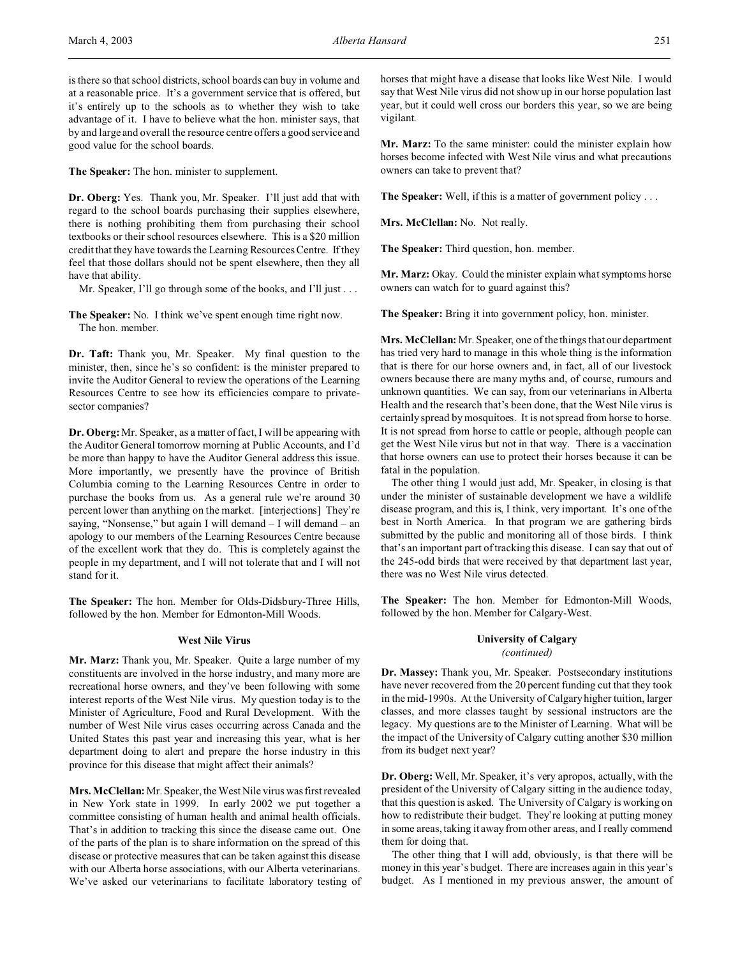**The Speaker:** The hon. minister to supplement.

**Dr. Oberg:** Yes. Thank you, Mr. Speaker. I'll just add that with regard to the school boards purchasing their supplies elsewhere, there is nothing prohibiting them from purchasing their school textbooks or their school resources elsewhere. This is a \$20 million credit that they have towards the Learning Resources Centre. If they feel that those dollars should not be spent elsewhere, then they all have that ability.

Mr. Speaker, I'll go through some of the books, and I'll just . . .

**The Speaker:** No. I think we've spent enough time right now. The hon. member.

**Dr. Taft:** Thank you, Mr. Speaker. My final question to the minister, then, since he's so confident: is the minister prepared to invite the Auditor General to review the operations of the Learning Resources Centre to see how its efficiencies compare to privatesector companies?

**Dr. Oberg:**Mr. Speaker, as a matter of fact, I will be appearing with the Auditor General tomorrow morning at Public Accounts, and I'd be more than happy to have the Auditor General address this issue. More importantly, we presently have the province of British Columbia coming to the Learning Resources Centre in order to purchase the books from us. As a general rule we're around 30 percent lower than anything on the market. [interjections] They're saying, "Nonsense," but again I will demand – I will demand – an apology to our members of the Learning Resources Centre because of the excellent work that they do. This is completely against the people in my department, and I will not tolerate that and I will not stand for it.

**The Speaker:** The hon. Member for Olds-Didsbury-Three Hills, followed by the hon. Member for Edmonton-Mill Woods.

### **West Nile Virus**

**Mr. Marz:** Thank you, Mr. Speaker. Quite a large number of my constituents are involved in the horse industry, and many more are recreational horse owners, and they've been following with some interest reports of the West Nile virus. My question today is to the Minister of Agriculture, Food and Rural Development. With the number of West Nile virus cases occurring across Canada and the United States this past year and increasing this year, what is her department doing to alert and prepare the horse industry in this province for this disease that might affect their animals?

**Mrs. McClellan:** Mr. Speaker, the West Nile virus was first revealed in New York state in 1999. In early 2002 we put together a committee consisting of human health and animal health officials. That's in addition to tracking this since the disease came out. One of the parts of the plan is to share information on the spread of this disease or protective measures that can be taken against this disease with our Alberta horse associations, with our Alberta veterinarians. We've asked our veterinarians to facilitate laboratory testing of horses that might have a disease that looks like West Nile. I would say that West Nile virus did not show up in our horse population last year, but it could well cross our borders this year, so we are being vigilant.

**Mr. Marz:** To the same minister: could the minister explain how horses become infected with West Nile virus and what precautions owners can take to prevent that?

**The Speaker:** Well, if this is a matter of government policy . . .

**Mrs. McClellan:** No. Not really.

**The Speaker:** Third question, hon. member.

**Mr. Marz:** Okay. Could the minister explain what symptoms horse owners can watch for to guard against this?

**The Speaker:** Bring it into government policy, hon. minister.

**Mrs. McClellan:** Mr. Speaker, one of the things that our department has tried very hard to manage in this whole thing is the information that is there for our horse owners and, in fact, all of our livestock owners because there are many myths and, of course, rumours and unknown quantities. We can say, from our veterinarians in Alberta Health and the research that's been done, that the West Nile virus is certainly spread by mosquitoes. It is not spread from horse to horse. It is not spread from horse to cattle or people, although people can get the West Nile virus but not in that way. There is a vaccination that horse owners can use to protect their horses because it can be fatal in the population.

The other thing I would just add, Mr. Speaker, in closing is that under the minister of sustainable development we have a wildlife disease program, and this is, I think, very important. It's one of the best in North America. In that program we are gathering birds submitted by the public and monitoring all of those birds. I think that's an important part of tracking this disease. I can say that out of the 245-odd birds that were received by that department last year, there was no West Nile virus detected.

**The Speaker:** The hon. Member for Edmonton-Mill Woods, followed by the hon. Member for Calgary-West.

# **University of Calgary**

*(continued)*

**Dr. Massey:** Thank you, Mr. Speaker. Postsecondary institutions have never recovered from the 20 percent funding cut that they took in the mid-1990s. At the University of Calgary higher tuition, larger classes, and more classes taught by sessional instructors are the legacy. My questions are to the Minister of Learning. What will be the impact of the University of Calgary cutting another \$30 million from its budget next year?

**Dr. Oberg:** Well, Mr. Speaker, it's very apropos, actually, with the president of the University of Calgary sitting in the audience today, that this question is asked. The University of Calgary is working on how to redistribute their budget. They're looking at putting money in some areas, taking it away from other areas, and I really commend them for doing that.

The other thing that I will add, obviously, is that there will be money in this year's budget. There are increases again in this year's budget. As I mentioned in my previous answer, the amount of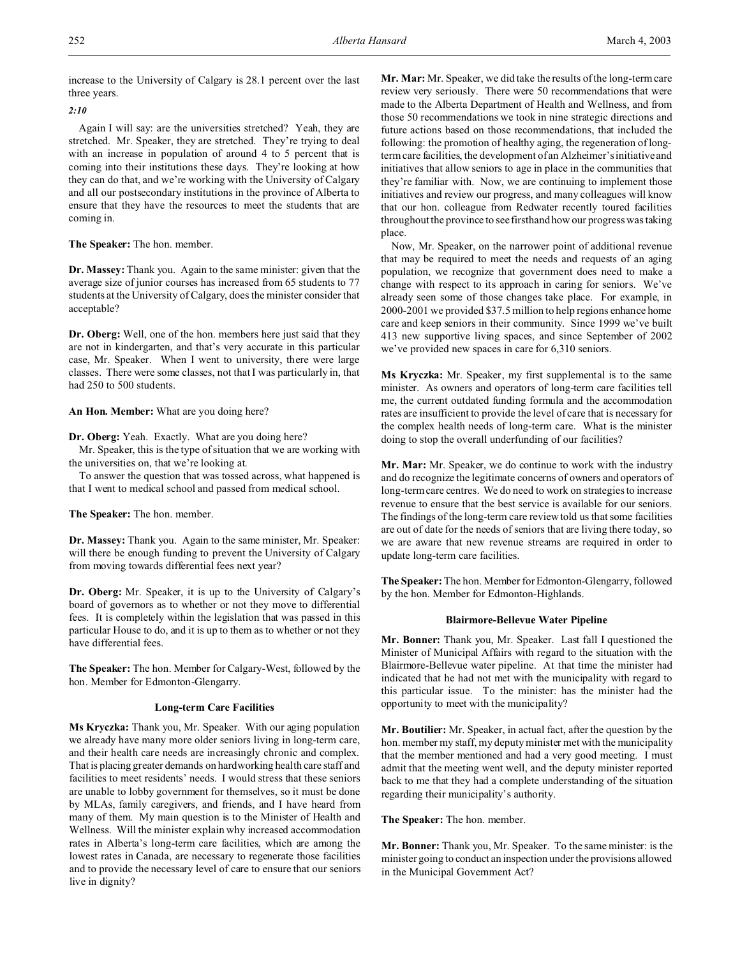increase to the University of Calgary is 28.1 percent over the last three years.

## *2:10*

Again I will say: are the universities stretched? Yeah, they are stretched. Mr. Speaker, they are stretched. They're trying to deal with an increase in population of around 4 to 5 percent that is coming into their institutions these days. They're looking at how they can do that, and we're working with the University of Calgary and all our postsecondary institutions in the province of Alberta to ensure that they have the resources to meet the students that are coming in.

**The Speaker:** The hon. member.

**Dr. Massey:** Thank you. Again to the same minister: given that the average size of junior courses has increased from 65 students to 77 students at the University of Calgary, does the minister consider that acceptable?

**Dr. Oberg:** Well, one of the hon. members here just said that they are not in kindergarten, and that's very accurate in this particular case, Mr. Speaker. When I went to university, there were large classes. There were some classes, not that I was particularly in, that had 250 to 500 students.

**An Hon. Member:** What are you doing here?

**Dr. Oberg:** Yeah. Exactly. What are you doing here?

Mr. Speaker, this is the type of situation that we are working with the universities on, that we're looking at.

To answer the question that was tossed across, what happened is that I went to medical school and passed from medical school.

**The Speaker:** The hon. member.

**Dr. Massey:** Thank you. Again to the same minister, Mr. Speaker: will there be enough funding to prevent the University of Calgary from moving towards differential fees next year?

**Dr. Oberg:** Mr. Speaker, it is up to the University of Calgary's board of governors as to whether or not they move to differential fees. It is completely within the legislation that was passed in this particular House to do, and it is up to them as to whether or not they have differential fees.

**The Speaker:** The hon. Member for Calgary-West, followed by the hon. Member for Edmonton-Glengarry.

### **Long-term Care Facilities**

**Ms Kryczka:** Thank you, Mr. Speaker. With our aging population we already have many more older seniors living in long-term care, and their health care needs are increasingly chronic and complex. That is placing greater demands on hardworking health care staff and facilities to meet residents' needs. I would stress that these seniors are unable to lobby government for themselves, so it must be done by MLAs, family caregivers, and friends, and I have heard from many of them. My main question is to the Minister of Health and Wellness. Will the minister explain why increased accommodation rates in Alberta's long-term care facilities, which are among the lowest rates in Canada, are necessary to regenerate those facilities and to provide the necessary level of care to ensure that our seniors live in dignity?

**Mr. Mar:** Mr. Speaker, we did take the results of the long-term care review very seriously. There were 50 recommendations that were made to the Alberta Department of Health and Wellness, and from those 50 recommendations we took in nine strategic directions and future actions based on those recommendations, that included the following: the promotion of healthy aging, the regeneration of longterm care facilities, the development of an Alzheimer's initiative and initiatives that allow seniors to age in place in the communities that they're familiar with. Now, we are continuing to implement those initiatives and review our progress, and many colleagues will know that our hon. colleague from Redwater recently toured facilities throughout the province to see firsthand how our progress was taking place.

Now, Mr. Speaker, on the narrower point of additional revenue that may be required to meet the needs and requests of an aging population, we recognize that government does need to make a change with respect to its approach in caring for seniors. We've already seen some of those changes take place. For example, in 2000-2001 we provided \$37.5 million to help regions enhance home care and keep seniors in their community. Since 1999 we've built 413 new supportive living spaces, and since September of 2002 we've provided new spaces in care for 6,310 seniors.

**Ms Kryczka:** Mr. Speaker, my first supplemental is to the same minister. As owners and operators of long-term care facilities tell me, the current outdated funding formula and the accommodation rates are insufficient to provide the level of care that is necessary for the complex health needs of long-term care. What is the minister doing to stop the overall underfunding of our facilities?

**Mr. Mar:** Mr. Speaker, we do continue to work with the industry and do recognize the legitimate concerns of owners and operators of long-term care centres. We do need to work on strategies to increase revenue to ensure that the best service is available for our seniors. The findings of the long-term care review told us that some facilities are out of date for the needs of seniors that are living there today, so we are aware that new revenue streams are required in order to update long-term care facilities.

**The Speaker:** The hon. Member for Edmonton-Glengarry, followed by the hon. Member for Edmonton-Highlands.

#### **Blairmore-Bellevue Water Pipeline**

**Mr. Bonner:** Thank you, Mr. Speaker. Last fall I questioned the Minister of Municipal Affairs with regard to the situation with the Blairmore-Bellevue water pipeline. At that time the minister had indicated that he had not met with the municipality with regard to this particular issue. To the minister: has the minister had the opportunity to meet with the municipality?

**Mr. Boutilier:** Mr. Speaker, in actual fact, after the question by the hon. member my staff, my deputy minister met with the municipality that the member mentioned and had a very good meeting. I must admit that the meeting went well, and the deputy minister reported back to me that they had a complete understanding of the situation regarding their municipality's authority.

**The Speaker:** The hon. member.

**Mr. Bonner:** Thank you, Mr. Speaker. To the same minister: is the minister going to conduct an inspection under the provisions allowed in the Municipal Government Act?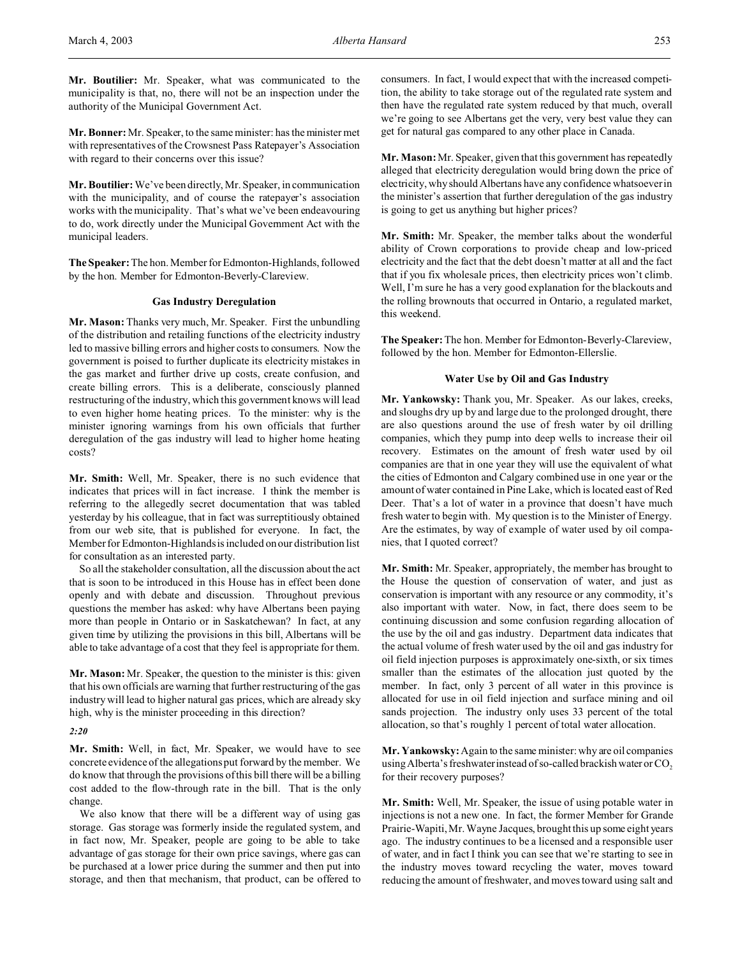**Mr. Boutilier:** Mr. Speaker, what was communicated to the municipality is that, no, there will not be an inspection under the authority of the Municipal Government Act.

**Mr. Bonner:** Mr. Speaker, to the same minister: has the minister met with representatives of the Crowsnest Pass Ratepayer's Association with regard to their concerns over this issue?

**Mr. Boutilier:** We've been directly, Mr. Speaker, in communication with the municipality, and of course the ratepayer's association works with the municipality. That's what we've been endeavouring to do, work directly under the Municipal Government Act with the municipal leaders.

**The Speaker:** The hon. Member for Edmonton-Highlands, followed by the hon. Member for Edmonton-Beverly-Clareview.

### **Gas Industry Deregulation**

**Mr. Mason:** Thanks very much, Mr. Speaker. First the unbundling of the distribution and retailing functions of the electricity industry led to massive billing errors and higher costs to consumers. Now the government is poised to further duplicate its electricity mistakes in the gas market and further drive up costs, create confusion, and create billing errors. This is a deliberate, consciously planned restructuring of the industry, which this government knows will lead to even higher home heating prices. To the minister: why is the minister ignoring warnings from his own officials that further deregulation of the gas industry will lead to higher home heating costs?

**Mr. Smith:** Well, Mr. Speaker, there is no such evidence that indicates that prices will in fact increase. I think the member is referring to the allegedly secret documentation that was tabled yesterday by his colleague, that in fact was surreptitiously obtained from our web site, that is published for everyone. In fact, the Member for Edmonton-Highlands is included on our distribution list for consultation as an interested party.

So all the stakeholder consultation, all the discussion about the act that is soon to be introduced in this House has in effect been done openly and with debate and discussion. Throughout previous questions the member has asked: why have Albertans been paying more than people in Ontario or in Saskatchewan? In fact, at any given time by utilizing the provisions in this bill, Albertans will be able to take advantage of a cost that they feel is appropriate for them.

**Mr. Mason:** Mr. Speaker, the question to the minister is this: given that his own officials are warning that further restructuring of the gas industry will lead to higher natural gas prices, which are already sky high, why is the minister proceeding in this direction?

### *2:20*

**Mr. Smith:** Well, in fact, Mr. Speaker, we would have to see concrete evidence of the allegations put forward by the member. We do know that through the provisions of this bill there will be a billing cost added to the flow-through rate in the bill. That is the only change.

We also know that there will be a different way of using gas storage. Gas storage was formerly inside the regulated system, and in fact now, Mr. Speaker, people are going to be able to take advantage of gas storage for their own price savings, where gas can be purchased at a lower price during the summer and then put into storage, and then that mechanism, that product, can be offered to consumers. In fact, I would expect that with the increased competition, the ability to take storage out of the regulated rate system and then have the regulated rate system reduced by that much, overall we're going to see Albertans get the very, very best value they can get for natural gas compared to any other place in Canada.

**Mr. Mason:** Mr. Speaker, given that this government has repeatedly alleged that electricity deregulation would bring down the price of electricity, why should Albertans have any confidence whatsoever in the minister's assertion that further deregulation of the gas industry is going to get us anything but higher prices?

**Mr. Smith:** Mr. Speaker, the member talks about the wonderful ability of Crown corporations to provide cheap and low-priced electricity and the fact that the debt doesn't matter at all and the fact that if you fix wholesale prices, then electricity prices won't climb. Well, I'm sure he has a very good explanation for the blackouts and the rolling brownouts that occurred in Ontario, a regulated market, this weekend.

**The Speaker:**The hon. Member for Edmonton-Beverly-Clareview, followed by the hon. Member for Edmonton-Ellerslie.

### **Water Use by Oil and Gas Industry**

**Mr. Yankowsky:** Thank you, Mr. Speaker. As our lakes, creeks, and sloughs dry up by and large due to the prolonged drought, there are also questions around the use of fresh water by oil drilling companies, which they pump into deep wells to increase their oil recovery. Estimates on the amount of fresh water used by oil companies are that in one year they will use the equivalent of what the cities of Edmonton and Calgary combined use in one year or the amount of water contained in Pine Lake, which is located east of Red Deer. That's a lot of water in a province that doesn't have much fresh water to begin with. My question is to the Minister of Energy. Are the estimates, by way of example of water used by oil companies, that I quoted correct?

**Mr. Smith:** Mr. Speaker, appropriately, the member has brought to the House the question of conservation of water, and just as conservation is important with any resource or any commodity, it's also important with water. Now, in fact, there does seem to be continuing discussion and some confusion regarding allocation of the use by the oil and gas industry. Department data indicates that the actual volume of fresh water used by the oil and gas industry for oil field injection purposes is approximately one-sixth, or six times smaller than the estimates of the allocation just quoted by the member. In fact, only 3 percent of all water in this province is allocated for use in oil field injection and surface mining and oil sands projection. The industry only uses 33 percent of the total allocation, so that's roughly 1 percent of total water allocation.

**Mr. Yankowsky:** Again to the same minister: why are oil companies using Alberta's freshwater instead of so-called brackish water or  $CO<sub>2</sub>$ for their recovery purposes?

**Mr. Smith:** Well, Mr. Speaker, the issue of using potable water in injections is not a new one. In fact, the former Member for Grande Prairie-Wapiti, Mr. Wayne Jacques, brought this up some eight years ago. The industry continues to be a licensed and a responsible user of water, and in fact I think you can see that we're starting to see in the industry moves toward recycling the water, moves toward reducing the amount of freshwater, and moves toward using salt and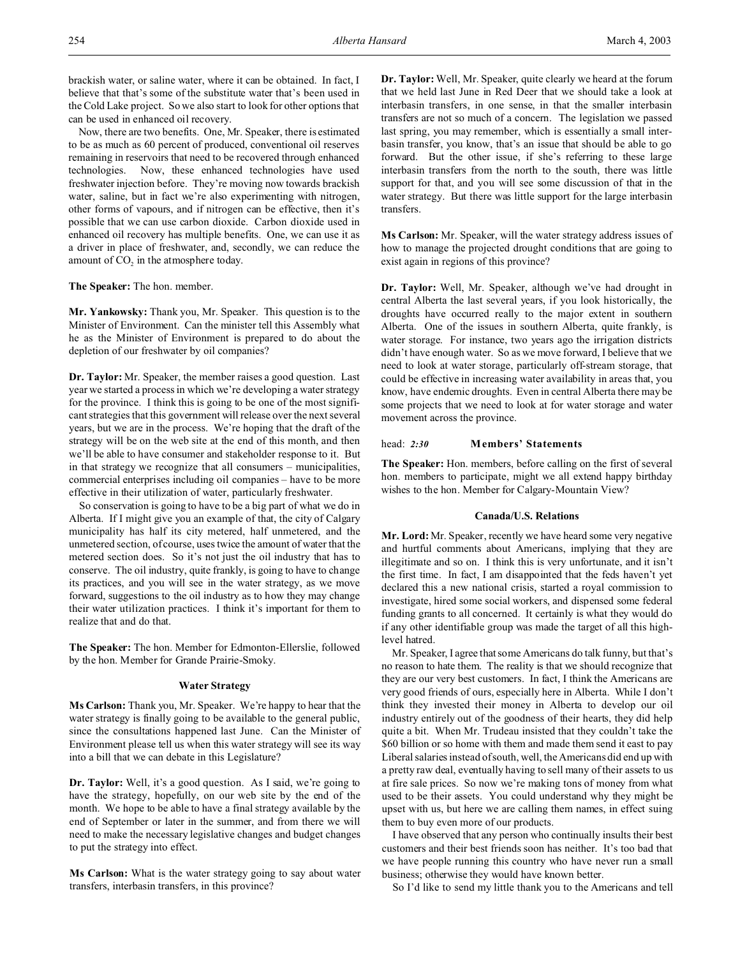brackish water, or saline water, where it can be obtained. In fact, I believe that that's some of the substitute water that's been used in the Cold Lake project. So we also start to look for other options that can be used in enhanced oil recovery.

Now, there are two benefits. One, Mr. Speaker, there is estimated to be as much as 60 percent of produced, conventional oil reserves remaining in reservoirs that need to be recovered through enhanced technologies. Now, these enhanced technologies have used freshwater injection before. They're moving now towards brackish water, saline, but in fact we're also experimenting with nitrogen, other forms of vapours, and if nitrogen can be effective, then it's possible that we can use carbon dioxide. Carbon dioxide used in enhanced oil recovery has multiple benefits. One, we can use it as a driver in place of freshwater, and, secondly, we can reduce the amount of  $CO<sub>2</sub>$  in the atmosphere today.

**The Speaker:** The hon. member.

**Mr. Yankowsky:** Thank you, Mr. Speaker. This question is to the Minister of Environment. Can the minister tell this Assembly what he as the Minister of Environment is prepared to do about the depletion of our freshwater by oil companies?

**Dr. Taylor:** Mr. Speaker, the member raises a good question. Last year we started a process in which we're developing a water strategy for the province. I think this is going to be one of the most significant strategies that this government will release over the next several years, but we are in the process. We're hoping that the draft of the strategy will be on the web site at the end of this month, and then we'll be able to have consumer and stakeholder response to it. But in that strategy we recognize that all consumers – municipalities, commercial enterprises including oil companies – have to be more effective in their utilization of water, particularly freshwater.

So conservation is going to have to be a big part of what we do in Alberta. If I might give you an example of that, the city of Calgary municipality has half its city metered, half unmetered, and the unmetered section, of course, uses twice the amount of water that the metered section does. So it's not just the oil industry that has to conserve. The oil industry, quite frankly, is going to have to change its practices, and you will see in the water strategy, as we move forward, suggestions to the oil industry as to how they may change their water utilization practices. I think it's important for them to realize that and do that.

**The Speaker:** The hon. Member for Edmonton-Ellerslie, followed by the hon. Member for Grande Prairie-Smoky.

### **Water Strategy**

**Ms Carlson:** Thank you, Mr. Speaker. We're happy to hear that the water strategy is finally going to be available to the general public, since the consultations happened last June. Can the Minister of Environment please tell us when this water strategy will see its way into a bill that we can debate in this Legislature?

**Dr. Taylor:** Well, it's a good question. As I said, we're going to have the strategy, hopefully, on our web site by the end of the month. We hope to be able to have a final strategy available by the end of September or later in the summer, and from there we will need to make the necessary legislative changes and budget changes to put the strategy into effect.

**Ms Carlson:** What is the water strategy going to say about water transfers, interbasin transfers, in this province?

**Dr. Taylor:** Well, Mr. Speaker, quite clearly we heard at the forum that we held last June in Red Deer that we should take a look at interbasin transfers, in one sense, in that the smaller interbasin transfers are not so much of a concern. The legislation we passed last spring, you may remember, which is essentially a small interbasin transfer, you know, that's an issue that should be able to go forward. But the other issue, if she's referring to these large interbasin transfers from the north to the south, there was little support for that, and you will see some discussion of that in the water strategy. But there was little support for the large interbasin transfers.

**Ms Carlson:** Mr. Speaker, will the water strategy address issues of how to manage the projected drought conditions that are going to exist again in regions of this province?

**Dr. Taylor:** Well, Mr. Speaker, although we've had drought in central Alberta the last several years, if you look historically, the droughts have occurred really to the major extent in southern Alberta. One of the issues in southern Alberta, quite frankly, is water storage. For instance, two years ago the irrigation districts didn't have enough water. So as we move forward, I believe that we need to look at water storage, particularly off-stream storage, that could be effective in increasing water availability in areas that, you know, have endemic droughts. Even in central Alberta there may be some projects that we need to look at for water storage and water movement across the province.

### head: *2:30* **Members' Statements**

**The Speaker:** Hon. members, before calling on the first of several hon. members to participate, might we all extend happy birthday wishes to the hon. Member for Calgary-Mountain View?

### **Canada/U.S. Relations**

**Mr. Lord:** Mr. Speaker, recently we have heard some very negative and hurtful comments about Americans, implying that they are illegitimate and so on. I think this is very unfortunate, and it isn't the first time. In fact, I am disappointed that the feds haven't yet declared this a new national crisis, started a royal commission to investigate, hired some social workers, and dispensed some federal funding grants to all concerned. It certainly is what they would do if any other identifiable group was made the target of all this highlevel hatred.

Mr. Speaker, I agree that some Americans do talk funny, but that's no reason to hate them. The reality is that we should recognize that they are our very best customers. In fact, I think the Americans are very good friends of ours, especially here in Alberta. While I don't think they invested their money in Alberta to develop our oil industry entirely out of the goodness of their hearts, they did help quite a bit. When Mr. Trudeau insisted that they couldn't take the \$60 billion or so home with them and made them send it east to pay Liberal salaries instead of south, well, the Americans did end up with a pretty raw deal, eventually having to sell many of their assets to us at fire sale prices. So now we're making tons of money from what used to be their assets. You could understand why they might be upset with us, but here we are calling them names, in effect suing them to buy even more of our products.

I have observed that any person who continually insults their best customers and their best friends soon has neither. It's too bad that we have people running this country who have never run a small business; otherwise they would have known better.

So I'd like to send my little thank you to the Americans and tell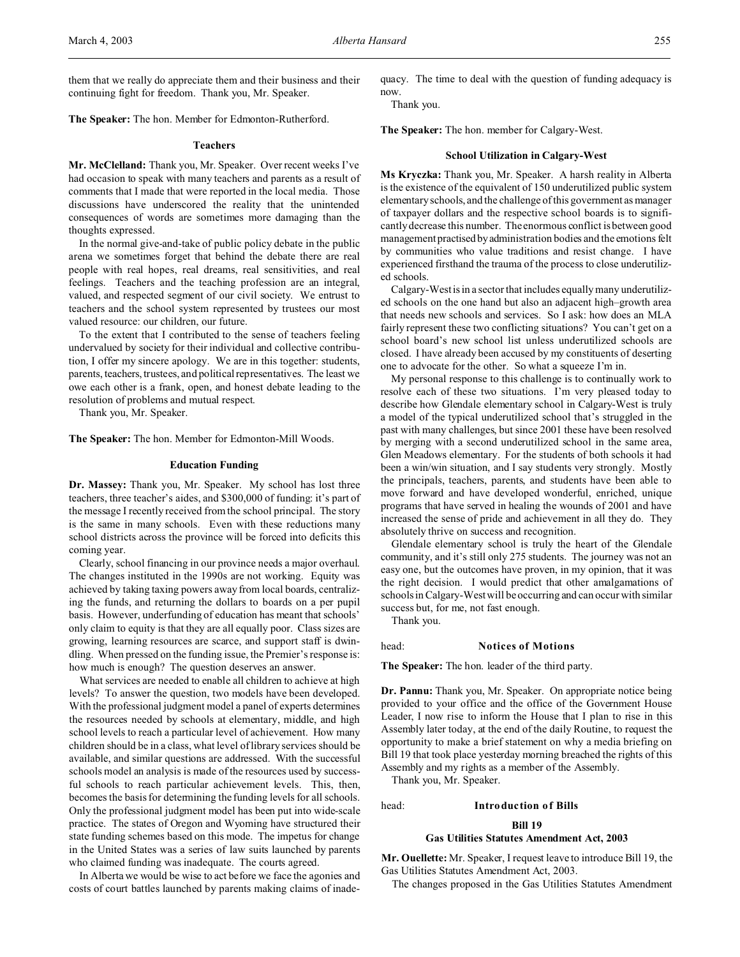**The Speaker:** The hon. Member for Edmonton-Rutherford.

#### **Teachers**

**Mr. McClelland:** Thank you, Mr. Speaker. Over recent weeks I've had occasion to speak with many teachers and parents as a result of comments that I made that were reported in the local media. Those discussions have underscored the reality that the unintended consequences of words are sometimes more damaging than the thoughts expressed.

In the normal give-and-take of public policy debate in the public arena we sometimes forget that behind the debate there are real people with real hopes, real dreams, real sensitivities, and real feelings. Teachers and the teaching profession are an integral, valued, and respected segment of our civil society. We entrust to teachers and the school system represented by trustees our most valued resource: our children, our future.

To the extent that I contributed to the sense of teachers feeling undervalued by society for their individual and collective contribution, I offer my sincere apology. We are in this together: students, parents, teachers, trustees, and political representatives. The least we owe each other is a frank, open, and honest debate leading to the resolution of problems and mutual respect.

Thank you, Mr. Speaker.

**The Speaker:** The hon. Member for Edmonton-Mill Woods.

#### **Education Funding**

**Dr. Massey:** Thank you, Mr. Speaker. My school has lost three teachers, three teacher's aides, and \$300,000 of funding: it's part of the message I recently received from the school principal. The story is the same in many schools. Even with these reductions many school districts across the province will be forced into deficits this coming year.

Clearly, school financing in our province needs a major overhaul. The changes instituted in the 1990s are not working. Equity was achieved by taking taxing powers away from local boards, centralizing the funds, and returning the dollars to boards on a per pupil basis. However, underfunding of education has meant that schools' only claim to equity is that they are all equally poor. Class sizes are growing, learning resources are scarce, and support staff is dwindling. When pressed on the funding issue, the Premier's response is: how much is enough? The question deserves an answer.

What services are needed to enable all children to achieve at high levels? To answer the question, two models have been developed. With the professional judgment model a panel of experts determines the resources needed by schools at elementary, middle, and high school levels to reach a particular level of achievement. How many children should be in a class, what level of library services should be available, and similar questions are addressed. With the successful schools model an analysis is made of the resources used by successful schools to reach particular achievement levels. This, then, becomes the basis for determining the funding levels for all schools. Only the professional judgment model has been put into wide-scale practice. The states of Oregon and Wyoming have structured their state funding schemes based on this mode. The impetus for change in the United States was a series of law suits launched by parents who claimed funding was inadequate. The courts agreed.

In Alberta we would be wise to act before we face the agonies and costs of court battles launched by parents making claims of inadequacy. The time to deal with the question of funding adequacy is

Thank you.

now.

**The Speaker:** The hon. member for Calgary-West.

#### **School Utilization in Calgary-West**

**Ms Kryczka:** Thank you, Mr. Speaker. A harsh reality in Alberta is the existence of the equivalent of 150 underutilized public system elementary schools, and the challenge of this government as manager of taxpayer dollars and the respective school boards is to significantly decrease this number. The enormous conflict is between good management practised byadministration bodies and the emotions felt by communities who value traditions and resist change. I have experienced firsthand the trauma of the process to close underutilized schools.

Calgary-West is in a sector that includes equally many underutilized schools on the one hand but also an adjacent high–growth area that needs new schools and services. So I ask: how does an MLA fairly represent these two conflicting situations? You can't get on a school board's new school list unless underutilized schools are closed. I have already been accused by my constituents of deserting one to advocate for the other. So what a squeeze I'm in.

My personal response to this challenge is to continually work to resolve each of these two situations. I'm very pleased today to describe how Glendale elementary school in Calgary-West is truly a model of the typical underutilized school that's struggled in the past with many challenges, but since 2001 these have been resolved by merging with a second underutilized school in the same area, Glen Meadows elementary. For the students of both schools it had been a win/win situation, and I say students very strongly. Mostly the principals, teachers, parents, and students have been able to move forward and have developed wonderful, enriched, unique programs that have served in healing the wounds of 2001 and have increased the sense of pride and achievement in all they do. They absolutely thrive on success and recognition.

Glendale elementary school is truly the heart of the Glendale community, and it's still only 275 students. The journey was not an easy one, but the outcomes have proven, in my opinion, that it was the right decision. I would predict that other amalgamations of schools in Calgary-West will be occurring and can occur with similar success but, for me, not fast enough.

Thank you.

#### head: **Notices of Motions**

**The Speaker:** The hon. leader of the third party.

**Dr. Pannu:** Thank you, Mr. Speaker. On appropriate notice being provided to your office and the office of the Government House Leader, I now rise to inform the House that I plan to rise in this Assembly later today, at the end of the daily Routine, to request the opportunity to make a brief statement on why a media briefing on Bill 19 that took place yesterday morning breached the rights of this Assembly and my rights as a member of the Assembly.

Thank you, Mr. Speaker.

#### head: **Introduction of Bills**

## **Bill 19**

#### **Gas Utilities Statutes Amendment Act, 2003**

**Mr. Ouellette:** Mr. Speaker, I request leave to introduce Bill 19, the Gas Utilities Statutes Amendment Act, 2003.

The changes proposed in the Gas Utilities Statutes Amendment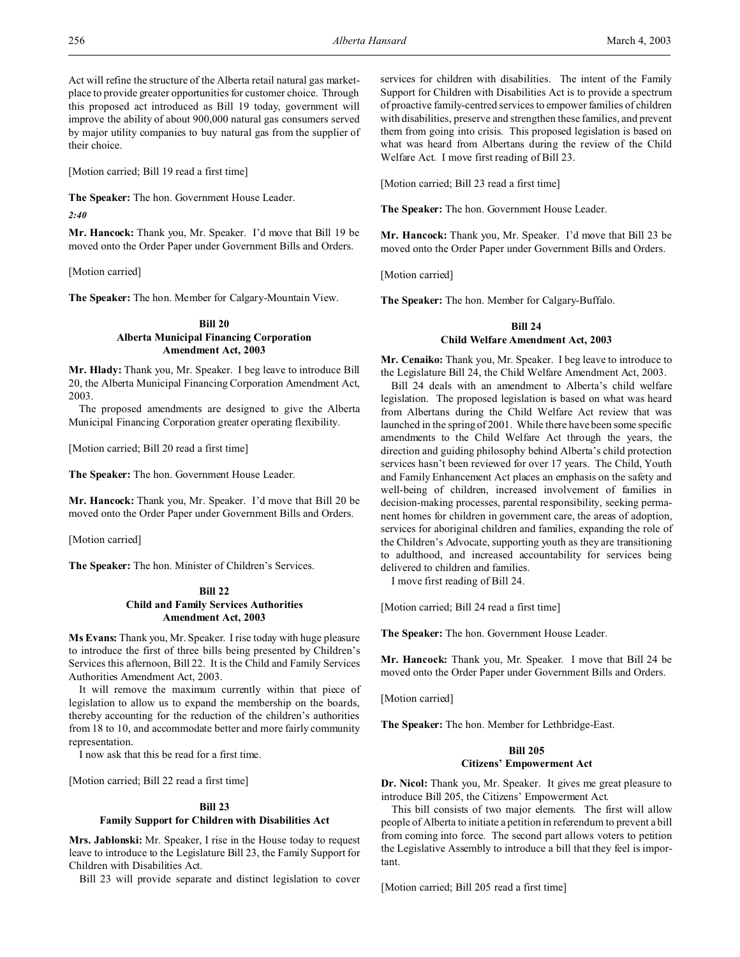Act will refine the structure of the Alberta retail natural gas marketplace to provide greater opportunities for customer choice. Through this proposed act introduced as Bill 19 today, government will improve the ability of about 900,000 natural gas consumers served by major utility companies to buy natural gas from the supplier of their choice.

[Motion carried; Bill 19 read a first time]

**The Speaker:** The hon. Government House Leader.

*2:40*

**Mr. Hancock:** Thank you, Mr. Speaker. I'd move that Bill 19 be moved onto the Order Paper under Government Bills and Orders.

[Motion carried]

**The Speaker:** The hon. Member for Calgary-Mountain View.

## **Bill 20 Alberta Municipal Financing Corporation Amendment Act, 2003**

**Mr. Hlady:** Thank you, Mr. Speaker. I beg leave to introduce Bill 20, the Alberta Municipal Financing Corporation Amendment Act, 2003.

The proposed amendments are designed to give the Alberta Municipal Financing Corporation greater operating flexibility.

[Motion carried; Bill 20 read a first time]

**The Speaker:** The hon. Government House Leader.

**Mr. Hancock:** Thank you, Mr. Speaker. I'd move that Bill 20 be moved onto the Order Paper under Government Bills and Orders.

[Motion carried]

**The Speaker:** The hon. Minister of Children's Services.

## **Bill 22 Child and Family Services Authorities Amendment Act, 2003**

**Ms Evans:** Thank you, Mr. Speaker. I rise today with huge pleasure to introduce the first of three bills being presented by Children's Services this afternoon, Bill 22. It is the Child and Family Services Authorities Amendment Act, 2003.

It will remove the maximum currently within that piece of legislation to allow us to expand the membership on the boards, thereby accounting for the reduction of the children's authorities from 18 to 10, and accommodate better and more fairly community representation.

I now ask that this be read for a first time.

[Motion carried; Bill 22 read a first time]

### **Bill 23**

### **Family Support for Children with Disabilities Act**

**Mrs. Jablonski:** Mr. Speaker, I rise in the House today to request leave to introduce to the Legislature Bill 23, the Family Support for Children with Disabilities Act.

Bill 23 will provide separate and distinct legislation to cover

services for children with disabilities. The intent of the Family Support for Children with Disabilities Act is to provide a spectrum of proactive family-centred services to empower families of children with disabilities, preserve and strengthen these families, and prevent them from going into crisis. This proposed legislation is based on what was heard from Albertans during the review of the Child Welfare Act. I move first reading of Bill 23.

[Motion carried; Bill 23 read a first time]

**The Speaker:** The hon. Government House Leader.

**Mr. Hancock:** Thank you, Mr. Speaker. I'd move that Bill 23 be moved onto the Order Paper under Government Bills and Orders.

[Motion carried]

**The Speaker:** The hon. Member for Calgary-Buffalo.

# **Bill 24 Child Welfare Amendment Act, 2003**

**Mr. Cenaiko:** Thank you, Mr. Speaker. I beg leave to introduce to the Legislature Bill 24, the Child Welfare Amendment Act, 2003.

Bill 24 deals with an amendment to Alberta's child welfare legislation. The proposed legislation is based on what was heard from Albertans during the Child Welfare Act review that was launched in the spring of 2001. While there have been some specific amendments to the Child Welfare Act through the years, the direction and guiding philosophy behind Alberta's child protection services hasn't been reviewed for over 17 years. The Child, Youth and Family Enhancement Act places an emphasis on the safety and well-being of children, increased involvement of families in decision-making processes, parental responsibility, seeking permanent homes for children in government care, the areas of adoption, services for aboriginal children and families, expanding the role of the Children's Advocate, supporting youth as they are transitioning to adulthood, and increased accountability for services being delivered to children and families.

I move first reading of Bill 24.

[Motion carried; Bill 24 read a first time]

**The Speaker:** The hon. Government House Leader.

**Mr. Hancock:** Thank you, Mr. Speaker. I move that Bill 24 be moved onto the Order Paper under Government Bills and Orders.

[Motion carried]

**The Speaker:** The hon. Member for Lethbridge-East.

## **Bill 205**

#### **Citizens' Empowerment Act**

**Dr. Nicol:** Thank you, Mr. Speaker. It gives me great pleasure to introduce Bill 205, the Citizens' Empowerment Act.

This bill consists of two major elements. The first will allow people of Alberta to initiate a petition in referendum to prevent a bill from coming into force. The second part allows voters to petition the Legislative Assembly to introduce a bill that they feel is important.

[Motion carried; Bill 205 read a first time]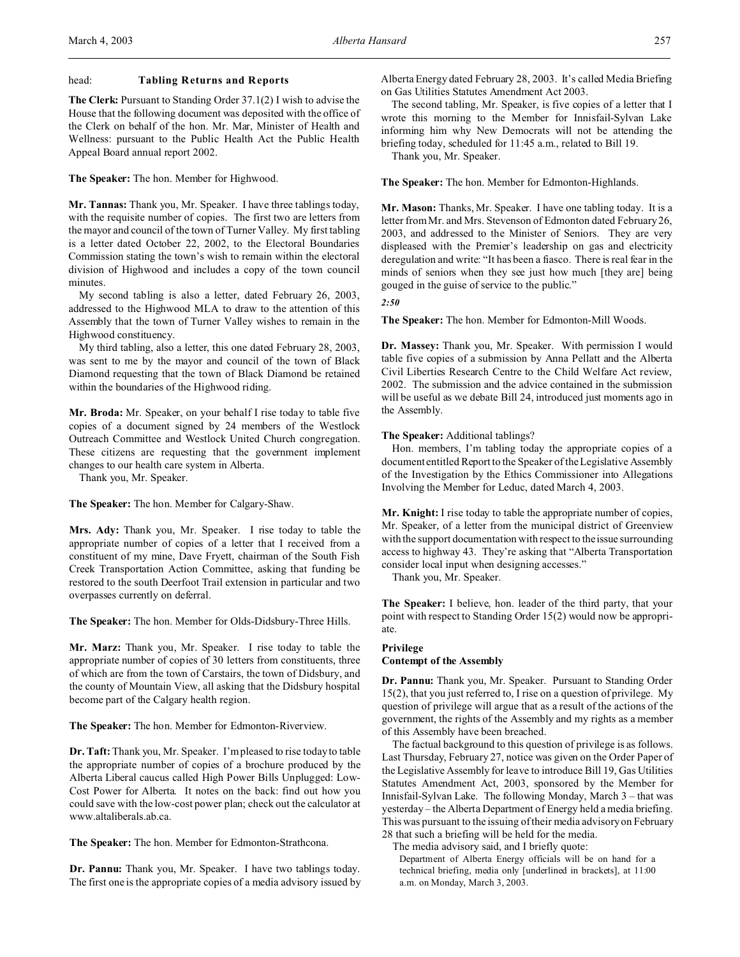### head: **Tabling Returns and Reports**

**The Clerk:** Pursuant to Standing Order 37.1(2) I wish to advise the House that the following document was deposited with the office of the Clerk on behalf of the hon. Mr. Mar, Minister of Health and Wellness: pursuant to the Public Health Act the Public Health Appeal Board annual report 2002.

**The Speaker:** The hon. Member for Highwood.

**Mr. Tannas:** Thank you, Mr. Speaker. I have three tablings today, with the requisite number of copies. The first two are letters from the mayor and council of the town of Turner Valley. My first tabling is a letter dated October 22, 2002, to the Electoral Boundaries Commission stating the town's wish to remain within the electoral division of Highwood and includes a copy of the town council minutes.

My second tabling is also a letter, dated February 26, 2003, addressed to the Highwood MLA to draw to the attention of this Assembly that the town of Turner Valley wishes to remain in the Highwood constituency.

My third tabling, also a letter, this one dated February 28, 2003, was sent to me by the mayor and council of the town of Black Diamond requesting that the town of Black Diamond be retained within the boundaries of the Highwood riding.

**Mr. Broda:** Mr. Speaker, on your behalf I rise today to table five copies of a document signed by 24 members of the Westlock Outreach Committee and Westlock United Church congregation. These citizens are requesting that the government implement changes to our health care system in Alberta.

Thank you, Mr. Speaker.

**The Speaker:** The hon. Member for Calgary-Shaw.

**Mrs. Ady:** Thank you, Mr. Speaker. I rise today to table the appropriate number of copies of a letter that I received from a constituent of my mine, Dave Fryett, chairman of the South Fish Creek Transportation Action Committee, asking that funding be restored to the south Deerfoot Trail extension in particular and two overpasses currently on deferral.

**The Speaker:** The hon. Member for Olds-Didsbury-Three Hills.

**Mr. Marz:** Thank you, Mr. Speaker. I rise today to table the appropriate number of copies of 30 letters from constituents, three of which are from the town of Carstairs, the town of Didsbury, and the county of Mountain View, all asking that the Didsbury hospital become part of the Calgary health region.

**The Speaker:** The hon. Member for Edmonton-Riverview.

**Dr. Taft:** Thank you, Mr. Speaker. I'm pleased to rise today to table the appropriate number of copies of a brochure produced by the Alberta Liberal caucus called High Power Bills Unplugged: Low-Cost Power for Alberta. It notes on the back: find out how you could save with the low-cost power plan; check out the calculator at www.altaliberals.ab.ca.

**The Speaker:** The hon. Member for Edmonton-Strathcona.

**Dr. Pannu:** Thank you, Mr. Speaker. I have two tablings today. The first one is the appropriate copies of a media advisory issued by

Alberta Energy dated February 28, 2003. It's called Media Briefing on Gas Utilities Statutes Amendment Act 2003.

The second tabling, Mr. Speaker, is five copies of a letter that I wrote this morning to the Member for Innisfail-Sylvan Lake informing him why New Democrats will not be attending the briefing today, scheduled for 11:45 a.m., related to Bill 19.

Thank you, Mr. Speaker.

**The Speaker:** The hon. Member for Edmonton-Highlands.

**Mr. Mason:** Thanks, Mr. Speaker. I have one tabling today. It is a letter from Mr. and Mrs. Stevenson of Edmonton dated February 26, 2003, and addressed to the Minister of Seniors. They are very displeased with the Premier's leadership on gas and electricity deregulation and write: "It has been a fiasco. There is real fear in the minds of seniors when they see just how much [they are] being gouged in the guise of service to the public."

*2:50*

**The Speaker:** The hon. Member for Edmonton-Mill Woods.

**Dr. Massey:** Thank you, Mr. Speaker. With permission I would table five copies of a submission by Anna Pellatt and the Alberta Civil Liberties Research Centre to the Child Welfare Act review, 2002. The submission and the advice contained in the submission will be useful as we debate Bill 24, introduced just moments ago in the Assembly.

**The Speaker:** Additional tablings?

Hon. members, I'm tabling today the appropriate copies of a document entitled Report to the Speaker of the Legislative Assembly of the Investigation by the Ethics Commissioner into Allegations Involving the Member for Leduc, dated March 4, 2003.

**Mr. Knight:** I rise today to table the appropriate number of copies, Mr. Speaker, of a letter from the municipal district of Greenview with the support documentation with respect to the issue surrounding access to highway 43. They're asking that "Alberta Transportation consider local input when designing accesses."

Thank you, Mr. Speaker.

**The Speaker:** I believe, hon. leader of the third party, that your point with respect to Standing Order 15(2) would now be appropriate.

### **Privilege Contempt of the Assembly**

**Dr. Pannu:** Thank you, Mr. Speaker. Pursuant to Standing Order 15(2), that you just referred to, I rise on a question of privilege. My question of privilege will argue that as a result of the actions of the government, the rights of the Assembly and my rights as a member of this Assembly have been breached.

The factual background to this question of privilege is as follows. Last Thursday, February 27, notice was given on the Order Paper of the Legislative Assembly for leave to introduce Bill 19, Gas Utilities Statutes Amendment Act, 2003, sponsored by the Member for Innisfail-Sylvan Lake. The following Monday, March 3 – that was yesterday – the Alberta Department of Energy held a media briefing. This was pursuant to the issuing of their media advisory on February 28 that such a briefing will be held for the media.

The media advisory said, and I briefly quote:

Department of Alberta Energy officials will be on hand for a technical briefing, media only [underlined in brackets], at 11:00 a.m. on Monday, March 3, 2003.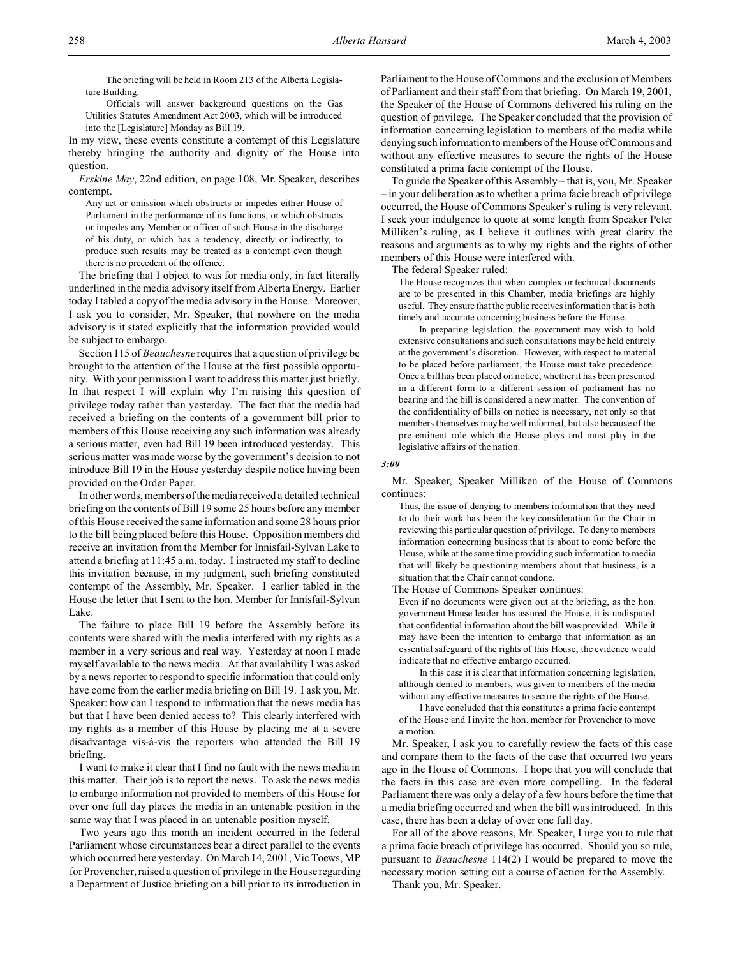The briefing will be held in Room 213 of the Alberta Legislature Building.

Officials will answer background questions on the Gas Utilities Statutes Amendment Act 2003, which will be introduced into the [Legislature] Monday as Bill 19.

In my view, these events constitute a contempt of this Legislature thereby bringing the authority and dignity of the House into question.

*Erskine May*, 22nd edition, on page 108, Mr. Speaker, describes contempt.

Any act or omission which obstructs or impedes either House of Parliament in the performance of its functions, or which obstructs or impedes any Member or officer of such House in the discharge of his duty, or which has a tendency, directly or indirectly, to produce such results may be treated as a contempt even though there is no precedent of the offence.

The briefing that I object to was for media only, in fact literally underlined in the media advisory itself from Alberta Energy. Earlier today I tabled a copy of the media advisory in the House. Moreover, I ask you to consider, Mr. Speaker, that nowhere on the media advisory is it stated explicitly that the information provided would be subject to embargo.

Section 115 of *Beauchesne* requires that a question of privilege be brought to the attention of the House at the first possible opportunity. With your permission I want to address this matter just briefly. In that respect I will explain why I'm raising this question of privilege today rather than yesterday. The fact that the media had received a briefing on the contents of a government bill prior to members of this House receiving any such information was already a serious matter, even had Bill 19 been introduced yesterday. This serious matter was made worse by the government's decision to not introduce Bill 19 in the House yesterday despite notice having been provided on the Order Paper.

In other words, members of the media received a detailed technical briefing on the contents of Bill 19 some 25 hours before any member of this House received the same information and some 28 hours prior to the bill being placed before this House. Opposition members did receive an invitation from the Member for Innisfail-Sylvan Lake to attend a briefing at 11:45 a.m. today. I instructed my staff to decline this invitation because, in my judgment, such briefing constituted contempt of the Assembly, Mr. Speaker. I earlier tabled in the House the letter that I sent to the hon. Member for Innisfail-Sylvan Lake.

The failure to place Bill 19 before the Assembly before its contents were shared with the media interfered with my rights as a member in a very serious and real way. Yesterday at noon I made myself available to the news media. At that availability I was asked by a news reporter to respond to specific information that could only have come from the earlier media briefing on Bill 19. I ask you, Mr. Speaker: how can I respond to information that the news media has but that I have been denied access to? This clearly interfered with my rights as a member of this House by placing me at a severe disadvantage vis-à-vis the reporters who attended the Bill 19 briefing.

I want to make it clear that I find no fault with the news media in this matter. Their job is to report the news. To ask the news media to embargo information not provided to members of this House for over one full day places the media in an untenable position in the same way that I was placed in an untenable position myself.

Two years ago this month an incident occurred in the federal Parliament whose circumstances bear a direct parallel to the events which occurred here yesterday. On March 14, 2001, Vic Toews, MP for Provencher, raised a question of privilege in the House regarding a Department of Justice briefing on a bill prior to its introduction in

Parliament to the House of Commons and the exclusion of Members of Parliament and their staff from that briefing. On March 19, 2001, the Speaker of the House of Commons delivered his ruling on the question of privilege. The Speaker concluded that the provision of information concerning legislation to members of the media while denying such information to members of the House of Commons and without any effective measures to secure the rights of the House constituted a prima facie contempt of the House.

To guide the Speaker of this Assembly – that is, you, Mr. Speaker – in your deliberation as to whether a prima facie breach of privilege occurred, the House of Commons Speaker's ruling is very relevant. I seek your indulgence to quote at some length from Speaker Peter Milliken's ruling, as I believe it outlines with great clarity the reasons and arguments as to why my rights and the rights of other members of this House were interfered with.

The federal Speaker ruled:

The House recognizes that when complex or technical documents are to be presented in this Chamber, media briefings are highly useful. They ensure that the public receives information that is both timely and accurate concerning business before the House.

In preparing legislation, the government may wish to hold extensive consultations and such consultations may be held entirely at the government's discretion. However, with respect to material to be placed before parliament, the House must take precedence. Once a bill has been placed on notice, whether it has been presented in a different form to a different session of parliament has no bearing and the bill is considered a new matter. The convention of the confidentiality of bills on notice is necessary, not only so that members themselves may be well informed, but also because of the pre-eminent role which the House plays and must play in the legislative affairs of the nation.

### *3:00*

Mr. Speaker, Speaker Milliken of the House of Commons continues:

Thus, the issue of denying to members information that they need to do their work has been the key consideration for the Chair in reviewing this particular question of privilege. To deny to members information concerning business that is about to come before the House, while at the same time providing such information to media that will likely be questioning members about that business, is a situation that the Chair cannot condone.

The House of Commons Speaker continues:

Even if no documents were given out at the briefing, as the hon. government House leader has assured the House, it is undisputed that confidential information about the bill was provided. While it may have been the intention to embargo that information as an essential safeguard of the rights of this House, the evidence would indicate that no effective embargo occurred.

In this case it is clear that information concerning legislation, although denied to members, was given to members of the media without any effective measures to secure the rights of the House.

I have concluded that this constitutes a prima facie contempt of the House and I invite the hon. member for Provencher to move a motion.

Mr. Speaker, I ask you to carefully review the facts of this case and compare them to the facts of the case that occurred two years ago in the House of Commons. I hope that you will conclude that the facts in this case are even more compelling. In the federal Parliament there was only a delay of a few hours before the time that a media briefing occurred and when the bill was introduced. In this case, there has been a delay of over one full day.

For all of the above reasons, Mr. Speaker, I urge you to rule that a prima facie breach of privilege has occurred. Should you so rule, pursuant to *Beauchesne* 114(2) I would be prepared to move the necessary motion setting out a course of action for the Assembly.

Thank you, Mr. Speaker.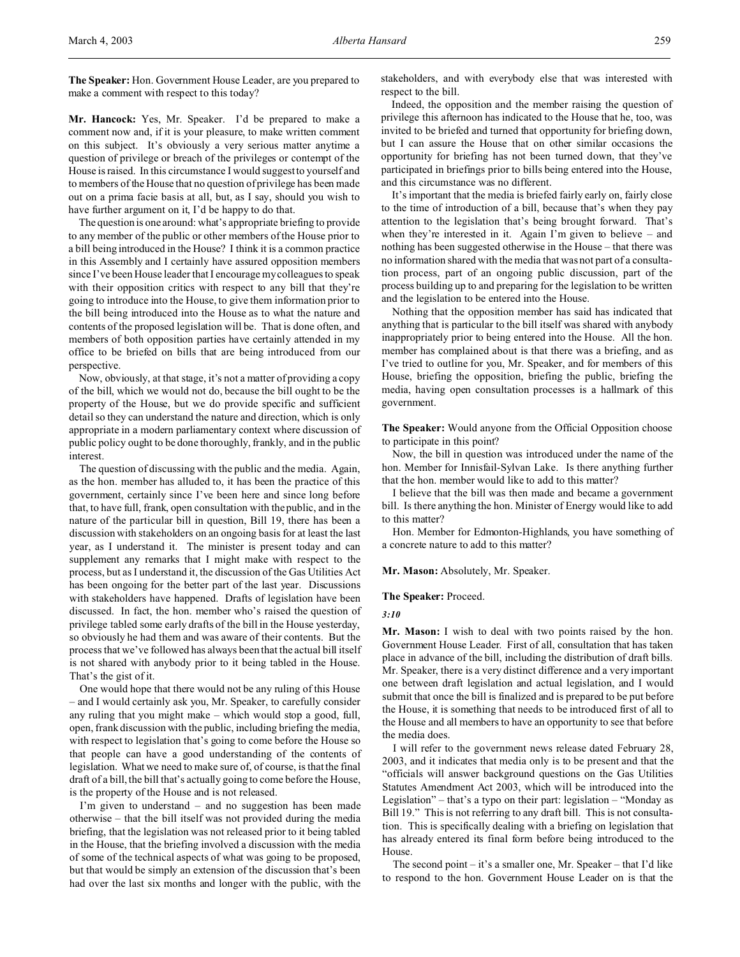**Mr. Hancock:** Yes, Mr. Speaker. I'd be prepared to make a comment now and, if it is your pleasure, to make written comment on this subject. It's obviously a very serious matter anytime a question of privilege or breach of the privileges or contempt of the House is raised. In this circumstance I would suggest to yourself and to members of the House that no question of privilege has been made out on a prima facie basis at all, but, as I say, should you wish to have further argument on it, I'd be happy to do that.

The question is one around: what's appropriate briefing to provide to any member of the public or other members of the House prior to a bill being introduced in the House? I think it is a common practice in this Assembly and I certainly have assured opposition members since I've been House leader that I encourage my colleagues to speak with their opposition critics with respect to any bill that they're going to introduce into the House, to give them information prior to the bill being introduced into the House as to what the nature and contents of the proposed legislation will be. That is done often, and members of both opposition parties have certainly attended in my office to be briefed on bills that are being introduced from our perspective.

Now, obviously, at that stage, it's not a matter of providing a copy of the bill, which we would not do, because the bill ought to be the property of the House, but we do provide specific and sufficient detail so they can understand the nature and direction, which is only appropriate in a modern parliamentary context where discussion of public policy ought to be done thoroughly, frankly, and in the public interest.

The question of discussing with the public and the media. Again, as the hon. member has alluded to, it has been the practice of this government, certainly since I've been here and since long before that, to have full, frank, open consultation with the public, and in the nature of the particular bill in question, Bill 19, there has been a discussion with stakeholders on an ongoing basis for at least the last year, as I understand it. The minister is present today and can supplement any remarks that I might make with respect to the process, but as I understand it, the discussion of the Gas Utilities Act has been ongoing for the better part of the last year. Discussions with stakeholders have happened. Drafts of legislation have been discussed. In fact, the hon. member who's raised the question of privilege tabled some early drafts of the bill in the House yesterday, so obviously he had them and was aware of their contents. But the process that we've followed has always been that the actual bill itself is not shared with anybody prior to it being tabled in the House. That's the gist of it.

One would hope that there would not be any ruling of this House – and I would certainly ask you, Mr. Speaker, to carefully consider any ruling that you might make – which would stop a good, full, open, frank discussion with the public, including briefing the media, with respect to legislation that's going to come before the House so that people can have a good understanding of the contents of legislation. What we need to make sure of, of course, is that the final draft of a bill, the bill that's actually going to come before the House, is the property of the House and is not released.

I'm given to understand – and no suggestion has been made otherwise – that the bill itself was not provided during the media briefing, that the legislation was not released prior to it being tabled in the House, that the briefing involved a discussion with the media of some of the technical aspects of what was going to be proposed, but that would be simply an extension of the discussion that's been had over the last six months and longer with the public, with the

stakeholders, and with everybody else that was interested with respect to the bill.

Indeed, the opposition and the member raising the question of privilege this afternoon has indicated to the House that he, too, was invited to be briefed and turned that opportunity for briefing down, but I can assure the House that on other similar occasions the opportunity for briefing has not been turned down, that they've participated in briefings prior to bills being entered into the House, and this circumstance was no different.

It's important that the media is briefed fairly early on, fairly close to the time of introduction of a bill, because that's when they pay attention to the legislation that's being brought forward. That's when they're interested in it. Again I'm given to believe – and nothing has been suggested otherwise in the House – that there was no information shared with the media that was not part of a consultation process, part of an ongoing public discussion, part of the process building up to and preparing for the legislation to be written and the legislation to be entered into the House.

Nothing that the opposition member has said has indicated that anything that is particular to the bill itself was shared with anybody inappropriately prior to being entered into the House. All the hon. member has complained about is that there was a briefing, and as I've tried to outline for you, Mr. Speaker, and for members of this House, briefing the opposition, briefing the public, briefing the media, having open consultation processes is a hallmark of this government.

**The Speaker:** Would anyone from the Official Opposition choose to participate in this point?

Now, the bill in question was introduced under the name of the hon. Member for Innisfail-Sylvan Lake. Is there anything further that the hon. member would like to add to this matter?

I believe that the bill was then made and became a government bill. Is there anything the hon. Minister of Energy would like to add to this matter?

Hon. Member for Edmonton-Highlands, you have something of a concrete nature to add to this matter?

**Mr. Mason:** Absolutely, Mr. Speaker.

**The Speaker:** Proceed.

*3:10*

Mr. Mason: I wish to deal with two points raised by the hon. Government House Leader. First of all, consultation that has taken place in advance of the bill, including the distribution of draft bills. Mr. Speaker, there is a very distinct difference and a very important one between draft legislation and actual legislation, and I would submit that once the bill is finalized and is prepared to be put before the House, it is something that needs to be introduced first of all to the House and all members to have an opportunity to see that before the media does.

I will refer to the government news release dated February 28, 2003, and it indicates that media only is to be present and that the "officials will answer background questions on the Gas Utilities Statutes Amendment Act 2003, which will be introduced into the Legislation" – that's a typo on their part: legislation – "Monday as Bill 19." This is not referring to any draft bill. This is not consultation. This is specifically dealing with a briefing on legislation that has already entered its final form before being introduced to the House.

The second point – it's a smaller one, Mr. Speaker – that I'd like to respond to the hon. Government House Leader on is that the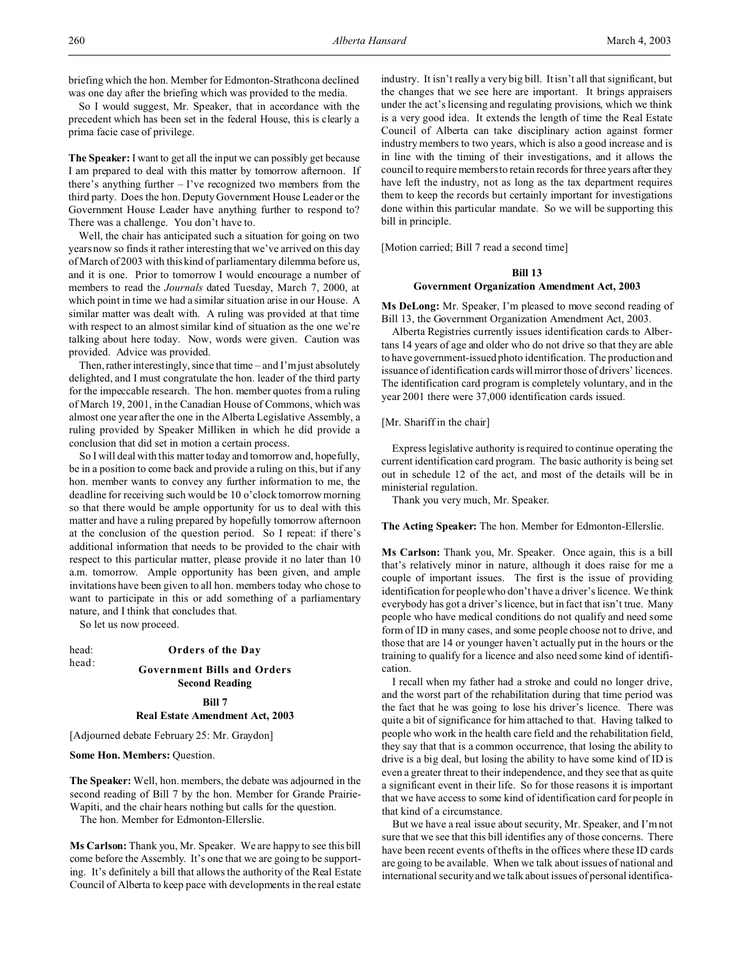briefing which the hon. Member for Edmonton-Strathcona declined was one day after the briefing which was provided to the media.

So I would suggest, Mr. Speaker, that in accordance with the precedent which has been set in the federal House, this is clearly a prima facie case of privilege.

**The Speaker:** I want to get all the input we can possibly get because I am prepared to deal with this matter by tomorrow afternoon. If there's anything further  $-$  I've recognized two members from the third party. Does the hon. Deputy Government House Leader or the Government House Leader have anything further to respond to? There was a challenge. You don't have to.

Well, the chair has anticipated such a situation for going on two years now so finds it rather interesting that we've arrived on this day of March of 2003 with this kind of parliamentary dilemma before us, and it is one. Prior to tomorrow I would encourage a number of members to read the *Journals* dated Tuesday, March 7, 2000, at which point in time we had a similar situation arise in our House. A similar matter was dealt with. A ruling was provided at that time with respect to an almost similar kind of situation as the one we're talking about here today. Now, words were given. Caution was provided. Advice was provided.

Then, rather interestingly, since that time – and I'm just absolutely delighted, and I must congratulate the hon. leader of the third party for the impeccable research. The hon. member quotes from a ruling of March 19, 2001, in the Canadian House of Commons, which was almost one year after the one in the Alberta Legislative Assembly, a ruling provided by Speaker Milliken in which he did provide a conclusion that did set in motion a certain process.

So I will deal with this matter today and tomorrow and, hopefully, be in a position to come back and provide a ruling on this, but if any hon. member wants to convey any further information to me, the deadline for receiving such would be 10 o'clock tomorrow morning so that there would be ample opportunity for us to deal with this matter and have a ruling prepared by hopefully tomorrow afternoon at the conclusion of the question period. So I repeat: if there's additional information that needs to be provided to the chair with respect to this particular matter, please provide it no later than 10 a.m. tomorrow. Ample opportunity has been given, and ample invitations have been given to all hon. members today who chose to want to participate in this or add something of a parliamentary nature, and I think that concludes that.

So let us now proceed.

#### head: **Orders of the Day**

# head: **Government Bills and Orders Second Reading**

## **Bill 7**

**Real Estate Amendment Act, 2003**

[Adjourned debate February 25: Mr. Graydon]

**Some Hon. Members: Ouestion.** 

**The Speaker:** Well, hon. members, the debate was adjourned in the second reading of Bill 7 by the hon. Member for Grande Prairie-Wapiti, and the chair hears nothing but calls for the question.

The hon. Member for Edmonton-Ellerslie.

**Ms Carlson:** Thank you, Mr. Speaker. We are happy to see this bill come before the Assembly. It's one that we are going to be supporting. It's definitely a bill that allows the authority of the Real Estate Council of Alberta to keep pace with developments in the real estate industry. It isn't really a very big bill. It isn't all that significant, but the changes that we see here are important. It brings appraisers under the act's licensing and regulating provisions, which we think is a very good idea. It extends the length of time the Real Estate Council of Alberta can take disciplinary action against former industry members to two years, which is also a good increase and is in line with the timing of their investigations, and it allows the council to require members to retain records for three years after they have left the industry, not as long as the tax department requires them to keep the records but certainly important for investigations done within this particular mandate. So we will be supporting this bill in principle.

[Motion carried; Bill 7 read a second time]

## **Bill 13**

### **Government Organization Amendment Act, 2003**

**Ms DeLong:** Mr. Speaker, I'm pleased to move second reading of Bill 13, the Government Organization Amendment Act, 2003.

Alberta Registries currently issues identification cards to Albertans 14 years of age and older who do not drive so that they are able to have government-issued photo identification. The production and issuance of identification cards will mirror those of drivers' licences. The identification card program is completely voluntary, and in the year 2001 there were 37,000 identification cards issued.

## [Mr. Shariff in the chair]

Express legislative authority is required to continue operating the current identification card program. The basic authority is being set out in schedule 12 of the act, and most of the details will be in ministerial regulation.

Thank you very much, Mr. Speaker.

**The Acting Speaker:** The hon. Member for Edmonton-Ellerslie.

**Ms Carlson:** Thank you, Mr. Speaker. Once again, this is a bill that's relatively minor in nature, although it does raise for me a couple of important issues. The first is the issue of providing identification for people who don't have a driver's licence. We think everybody has got a driver's licence, but in fact that isn't true. Many people who have medical conditions do not qualify and need some form of ID in many cases, and some people choose not to drive, and those that are 14 or younger haven't actually put in the hours or the training to qualify for a licence and also need some kind of identification.

I recall when my father had a stroke and could no longer drive, and the worst part of the rehabilitation during that time period was the fact that he was going to lose his driver's licence. There was quite a bit of significance for him attached to that. Having talked to people who work in the health care field and the rehabilitation field, they say that that is a common occurrence, that losing the ability to drive is a big deal, but losing the ability to have some kind of ID is even a greater threat to their independence, and they see that as quite a significant event in their life. So for those reasons it is important that we have access to some kind of identification card for people in that kind of a circumstance.

But we have a real issue about security, Mr. Speaker, and I'm not sure that we see that this bill identifies any of those concerns. There have been recent events of thefts in the offices where these ID cards are going to be available. When we talk about issues of national and international security and we talk about issues of personal identifica-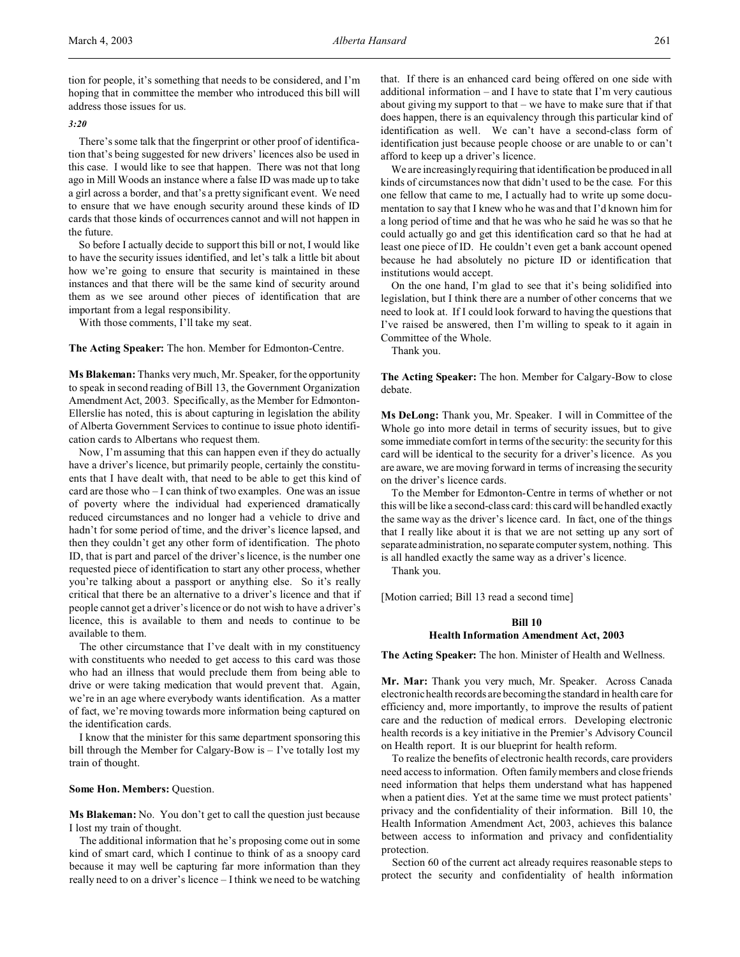#### *3:20*

There's some talk that the fingerprint or other proof of identification that's being suggested for new drivers' licences also be used in this case. I would like to see that happen. There was not that long ago in Mill Woods an instance where a false ID was made up to take a girl across a border, and that's a pretty significant event. We need to ensure that we have enough security around these kinds of ID cards that those kinds of occurrences cannot and will not happen in the future.

So before I actually decide to support this bill or not, I would like to have the security issues identified, and let's talk a little bit about how we're going to ensure that security is maintained in these instances and that there will be the same kind of security around them as we see around other pieces of identification that are important from a legal responsibility.

With those comments, I'll take my seat.

**The Acting Speaker:** The hon. Member for Edmonton-Centre.

**Ms Blakeman:** Thanks very much, Mr. Speaker, for the opportunity to speak in second reading of Bill 13, the Government Organization Amendment Act, 2003. Specifically, as the Member for Edmonton-Ellerslie has noted, this is about capturing in legislation the ability of Alberta Government Services to continue to issue photo identification cards to Albertans who request them.

Now, I'm assuming that this can happen even if they do actually have a driver's licence, but primarily people, certainly the constituents that I have dealt with, that need to be able to get this kind of card are those who – I can think of two examples. One was an issue of poverty where the individual had experienced dramatically reduced circumstances and no longer had a vehicle to drive and hadn't for some period of time, and the driver's licence lapsed, and then they couldn't get any other form of identification. The photo ID, that is part and parcel of the driver's licence, is the number one requested piece of identification to start any other process, whether you're talking about a passport or anything else. So it's really critical that there be an alternative to a driver's licence and that if people cannot get a driver's licence or do not wish to have a driver's licence, this is available to them and needs to continue to be available to them.

The other circumstance that I've dealt with in my constituency with constituents who needed to get access to this card was those who had an illness that would preclude them from being able to drive or were taking medication that would prevent that. Again, we're in an age where everybody wants identification. As a matter of fact, we're moving towards more information being captured on the identification cards.

I know that the minister for this same department sponsoring this bill through the Member for Calgary-Bow is – I've totally lost my train of thought.

### **Some Hon. Members:** Question.

**Ms Blakeman:** No. You don't get to call the question just because I lost my train of thought.

The additional information that he's proposing come out in some kind of smart card, which I continue to think of as a snoopy card because it may well be capturing far more information than they really need to on a driver's licence – I think we need to be watching that. If there is an enhanced card being offered on one side with additional information – and I have to state that I'm very cautious about giving my support to that – we have to make sure that if that does happen, there is an equivalency through this particular kind of identification as well. We can't have a second-class form of identification just because people choose or are unable to or can't afford to keep up a driver's licence.

We are increasingly requiring that identification be produced in all kinds of circumstances now that didn't used to be the case. For this one fellow that came to me, I actually had to write up some documentation to say that I knew who he was and that I'd known him for a long period of time and that he was who he said he was so that he could actually go and get this identification card so that he had at least one piece of ID. He couldn't even get a bank account opened because he had absolutely no picture ID or identification that institutions would accept.

On the one hand, I'm glad to see that it's being solidified into legislation, but I think there are a number of other concerns that we need to look at. If I could look forward to having the questions that I've raised be answered, then I'm willing to speak to it again in Committee of the Whole.

Thank you.

**The Acting Speaker:** The hon. Member for Calgary-Bow to close debate.

**Ms DeLong:** Thank you, Mr. Speaker. I will in Committee of the Whole go into more detail in terms of security issues, but to give some immediate comfort in terms of the security: the security for this card will be identical to the security for a driver's licence. As you are aware, we are moving forward in terms of increasing the security on the driver's licence cards.

To the Member for Edmonton-Centre in terms of whether or not this will be like a second-class card: this card will be handled exactly the same way as the driver's licence card. In fact, one of the things that I really like about it is that we are not setting up any sort of separate administration, no separate computer system, nothing. This is all handled exactly the same way as a driver's licence.

Thank you.

[Motion carried; Bill 13 read a second time]

## **Bill 10 Health Information Amendment Act, 2003**

**The Acting Speaker:** The hon. Minister of Health and Wellness.

**Mr. Mar:** Thank you very much, Mr. Speaker. Across Canada electronic health records are becoming the standard in health care for efficiency and, more importantly, to improve the results of patient care and the reduction of medical errors. Developing electronic health records is a key initiative in the Premier's Advisory Council on Health report. It is our blueprint for health reform.

To realize the benefits of electronic health records, care providers need access to information. Often family members and close friends need information that helps them understand what has happened when a patient dies. Yet at the same time we must protect patients' privacy and the confidentiality of their information. Bill 10, the Health Information Amendment Act, 2003, achieves this balance between access to information and privacy and confidentiality protection.

Section 60 of the current act already requires reasonable steps to protect the security and confidentiality of health information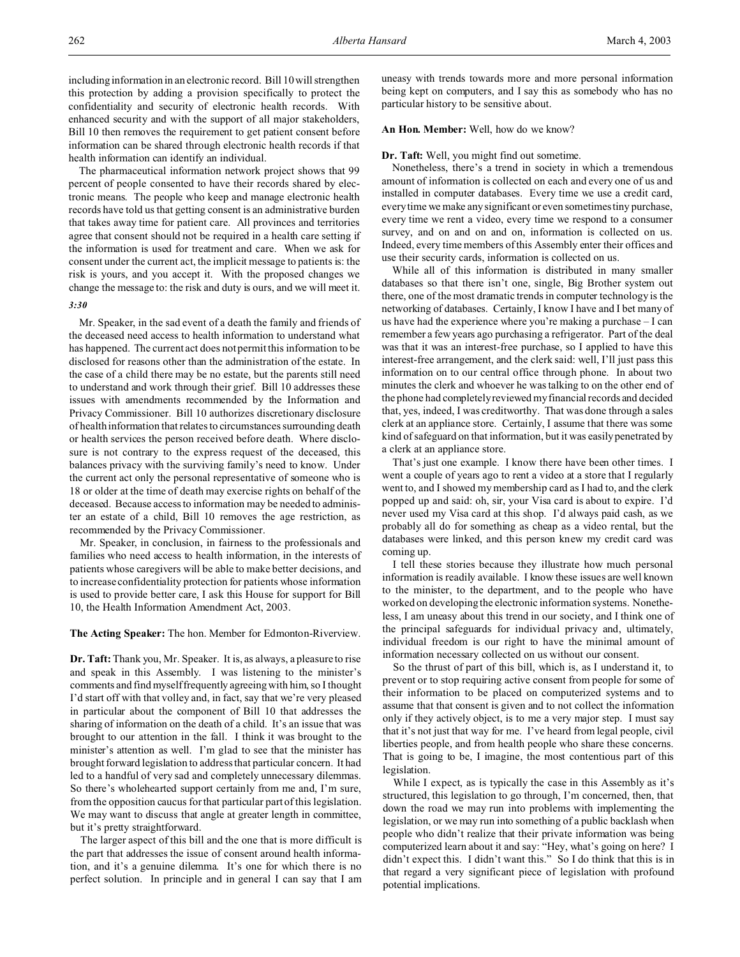including information in an electronic record. Bill 10 will strengthen this protection by adding a provision specifically to protect the confidentiality and security of electronic health records. With enhanced security and with the support of all major stakeholders, Bill 10 then removes the requirement to get patient consent before information can be shared through electronic health records if that health information can identify an individual.

The pharmaceutical information network project shows that 99 percent of people consented to have their records shared by electronic means. The people who keep and manage electronic health records have told us that getting consent is an administrative burden that takes away time for patient care. All provinces and territories agree that consent should not be required in a health care setting if the information is used for treatment and care. When we ask for consent under the current act, the implicit message to patients is: the risk is yours, and you accept it. With the proposed changes we change the message to: the risk and duty is ours, and we will meet it. *3:30*

Mr. Speaker, in the sad event of a death the family and friends of the deceased need access to health information to understand what has happened. The current act does not permit this information to be disclosed for reasons other than the administration of the estate. In the case of a child there may be no estate, but the parents still need to understand and work through their grief. Bill 10 addresses these issues with amendments recommended by the Information and Privacy Commissioner. Bill 10 authorizes discretionary disclosure of health information that relates to circumstances surrounding death or health services the person received before death. Where disclosure is not contrary to the express request of the deceased, this balances privacy with the surviving family's need to know. Under the current act only the personal representative of someone who is 18 or older at the time of death may exercise rights on behalf of the deceased. Because access to information may be needed to administer an estate of a child, Bill 10 removes the age restriction, as recommended by the Privacy Commissioner.

Mr. Speaker, in conclusion, in fairness to the professionals and families who need access to health information, in the interests of patients whose caregivers will be able to make better decisions, and to increase confidentiality protection for patients whose information is used to provide better care, I ask this House for support for Bill 10, the Health Information Amendment Act, 2003.

**The Acting Speaker:** The hon. Member for Edmonton-Riverview.

**Dr. Taft:** Thank you, Mr. Speaker. It is, as always, a pleasure to rise and speak in this Assembly. I was listening to the minister's comments and find myself frequently agreeing with him, so I thought I'd start off with that volley and, in fact, say that we're very pleased in particular about the component of Bill 10 that addresses the sharing of information on the death of a child. It's an issue that was brought to our attention in the fall. I think it was brought to the minister's attention as well. I'm glad to see that the minister has brought forward legislation to address that particular concern. It had led to a handful of very sad and completely unnecessary dilemmas. So there's wholehearted support certainly from me and, I'm sure, from the opposition caucus for that particular part of this legislation. We may want to discuss that angle at greater length in committee, but it's pretty straightforward.

The larger aspect of this bill and the one that is more difficult is the part that addresses the issue of consent around health information, and it's a genuine dilemma. It's one for which there is no perfect solution. In principle and in general I can say that I am uneasy with trends towards more and more personal information being kept on computers, and I say this as somebody who has no particular history to be sensitive about.

#### **An Hon. Member:** Well, how do we know?

#### **Dr. Taft:** Well, you might find out sometime.

Nonetheless, there's a trend in society in which a tremendous amount of information is collected on each and every one of us and installed in computer databases. Every time we use a credit card, every time we make any significant or even sometimes tiny purchase, every time we rent a video, every time we respond to a consumer survey, and on and on and on, information is collected on us. Indeed, every time members of this Assembly enter their offices and use their security cards, information is collected on us.

While all of this information is distributed in many smaller databases so that there isn't one, single, Big Brother system out there, one of the most dramatic trends in computer technology is the networking of databases. Certainly, I know I have and I bet many of us have had the experience where you're making a purchase – I can remember a few years ago purchasing a refrigerator. Part of the deal was that it was an interest-free purchase, so I applied to have this interest-free arrangement, and the clerk said: well, I'll just pass this information on to our central office through phone. In about two minutes the clerk and whoever he was talking to on the other end of the phone had completely reviewed my financial records and decided that, yes, indeed, I was creditworthy. That was done through a sales clerk at an appliance store. Certainly, I assume that there was some kind of safeguard on that information, but it was easily penetrated by a clerk at an appliance store.

That's just one example. I know there have been other times. I went a couple of years ago to rent a video at a store that I regularly went to, and I showed my membership card as I had to, and the clerk popped up and said: oh, sir, your Visa card is about to expire. I'd never used my Visa card at this shop. I'd always paid cash, as we probably all do for something as cheap as a video rental, but the databases were linked, and this person knew my credit card was coming up.

I tell these stories because they illustrate how much personal information is readily available. I know these issues are well known to the minister, to the department, and to the people who have worked on developing the electronic information systems. Nonetheless, I am uneasy about this trend in our society, and I think one of the principal safeguards for individual privacy and, ultimately, individual freedom is our right to have the minimal amount of information necessary collected on us without our consent.

So the thrust of part of this bill, which is, as I understand it, to prevent or to stop requiring active consent from people for some of their information to be placed on computerized systems and to assume that that consent is given and to not collect the information only if they actively object, is to me a very major step. I must say that it's not just that way for me. I've heard from legal people, civil liberties people, and from health people who share these concerns. That is going to be, I imagine, the most contentious part of this legislation.

While I expect, as is typically the case in this Assembly as it's structured, this legislation to go through, I'm concerned, then, that down the road we may run into problems with implementing the legislation, or we may run into something of a public backlash when people who didn't realize that their private information was being computerized learn about it and say: "Hey, what's going on here? I didn't expect this. I didn't want this." So I do think that this is in that regard a very significant piece of legislation with profound potential implications.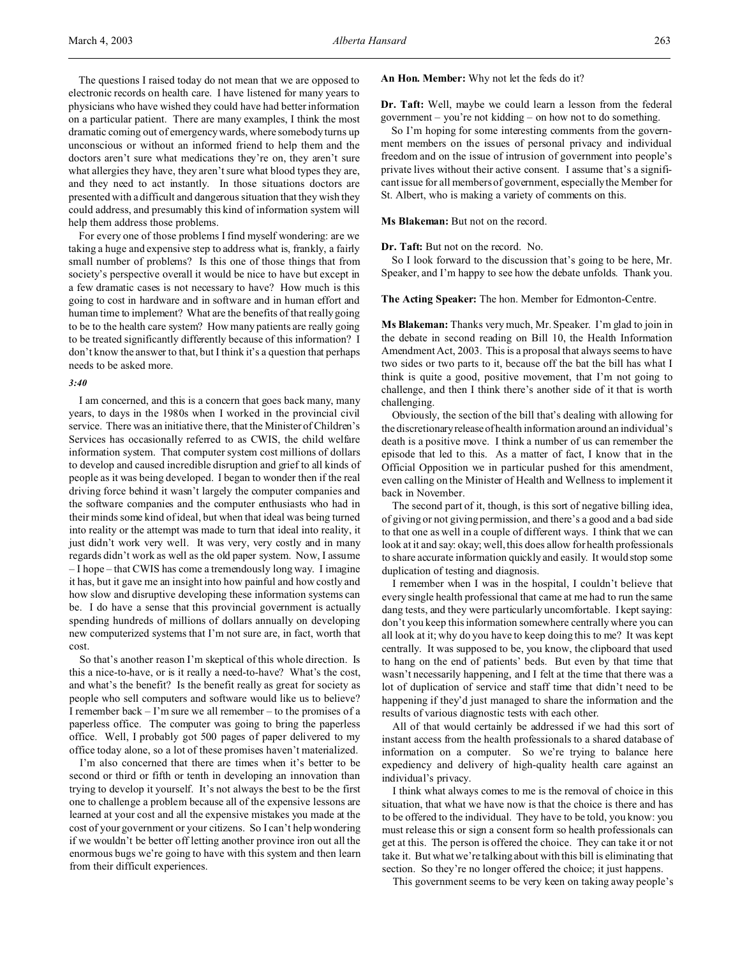The questions I raised today do not mean that we are opposed to electronic records on health care. I have listened for many years to physicians who have wished they could have had better information on a particular patient. There are many examples, I think the most dramatic coming out of emergency wards, where somebody turns up unconscious or without an informed friend to help them and the doctors aren't sure what medications they're on, they aren't sure what allergies they have, they aren't sure what blood types they are, and they need to act instantly. In those situations doctors are presented with a difficult and dangerous situation that they wish they could address, and presumably this kind of information system will help them address those problems.

For every one of those problems I find myself wondering: are we taking a huge and expensive step to address what is, frankly, a fairly small number of problems? Is this one of those things that from society's perspective overall it would be nice to have but except in a few dramatic cases is not necessary to have? How much is this going to cost in hardware and in software and in human effort and human time to implement? What are the benefits of that really going to be to the health care system? How many patients are really going to be treated significantly differently because of this information? I don't know the answer to that, but I think it's a question that perhaps needs to be asked more.

### *3:40*

I am concerned, and this is a concern that goes back many, many years, to days in the 1980s when I worked in the provincial civil service. There was an initiative there, that the Minister of Children's Services has occasionally referred to as CWIS, the child welfare information system. That computer system cost millions of dollars to develop and caused incredible disruption and grief to all kinds of people as it was being developed. I began to wonder then if the real driving force behind it wasn't largely the computer companies and the software companies and the computer enthusiasts who had in their minds some kind of ideal, but when that ideal was being turned into reality or the attempt was made to turn that ideal into reality, it just didn't work very well. It was very, very costly and in many regards didn't work as well as the old paper system. Now, I assume – I hope – that CWIS has come a tremendously long way. I imagine it has, but it gave me an insight into how painful and how costly and how slow and disruptive developing these information systems can be. I do have a sense that this provincial government is actually spending hundreds of millions of dollars annually on developing new computerized systems that I'm not sure are, in fact, worth that cost.

So that's another reason I'm skeptical of this whole direction. Is this a nice-to-have, or is it really a need-to-have? What's the cost, and what's the benefit? Is the benefit really as great for society as people who sell computers and software would like us to believe? I remember back – I'm sure we all remember – to the promises of a paperless office. The computer was going to bring the paperless office. Well, I probably got 500 pages of paper delivered to my office today alone, so a lot of these promises haven't materialized.

I'm also concerned that there are times when it's better to be second or third or fifth or tenth in developing an innovation than trying to develop it yourself. It's not always the best to be the first one to challenge a problem because all of the expensive lessons are learned at your cost and all the expensive mistakes you made at the cost of your government or your citizens. So I can't help wondering if we wouldn't be better off letting another province iron out all the enormous bugs we're going to have with this system and then learn from their difficult experiences.

**An Hon. Member:** Why not let the feds do it?

**Dr. Taft:** Well, maybe we could learn a lesson from the federal government – you're not kidding – on how not to do something.

So I'm hoping for some interesting comments from the government members on the issues of personal privacy and individual freedom and on the issue of intrusion of government into people's private lives without their active consent. I assume that's a significant issue for all members of government, especially the Member for St. Albert, who is making a variety of comments on this.

#### **Ms Blakeman:** But not on the record.

**Dr. Taft:** But not on the record. No.

So I look forward to the discussion that's going to be here, Mr. Speaker, and I'm happy to see how the debate unfolds. Thank you.

#### **The Acting Speaker:** The hon. Member for Edmonton-Centre.

**Ms Blakeman:** Thanks very much, Mr. Speaker. I'm glad to join in the debate in second reading on Bill 10, the Health Information Amendment Act, 2003. This is a proposal that always seems to have two sides or two parts to it, because off the bat the bill has what I think is quite a good, positive movement, that I'm not going to challenge, and then I think there's another side of it that is worth challenging.

Obviously, the section of the bill that's dealing with allowing for the discretionary release of health information around an individual's death is a positive move. I think a number of us can remember the episode that led to this. As a matter of fact, I know that in the Official Opposition we in particular pushed for this amendment, even calling on the Minister of Health and Wellness to implement it back in November.

The second part of it, though, is this sort of negative billing idea, of giving or not giving permission, and there's a good and a bad side to that one as well in a couple of different ways. I think that we can look at it and say: okay; well, this does allow for health professionals to share accurate information quickly and easily. It would stop some duplication of testing and diagnosis.

I remember when I was in the hospital, I couldn't believe that every single health professional that came at me had to run the same dang tests, and they were particularly uncomfortable. I kept saying: don't you keep this information somewhere centrally where you can all look at it; why do you have to keep doing this to me? It was kept centrally. It was supposed to be, you know, the clipboard that used to hang on the end of patients' beds. But even by that time that wasn't necessarily happening, and I felt at the time that there was a lot of duplication of service and staff time that didn't need to be happening if they'd just managed to share the information and the results of various diagnostic tests with each other.

All of that would certainly be addressed if we had this sort of instant access from the health professionals to a shared database of information on a computer. So we're trying to balance here expediency and delivery of high-quality health care against an individual's privacy.

I think what always comes to me is the removal of choice in this situation, that what we have now is that the choice is there and has to be offered to the individual. They have to be told, you know: you must release this or sign a consent form so health professionals can get at this. The person is offered the choice. They can take it or not take it. But what we're talking about with this bill is eliminating that section. So they're no longer offered the choice; it just happens.

This government seems to be very keen on taking away people's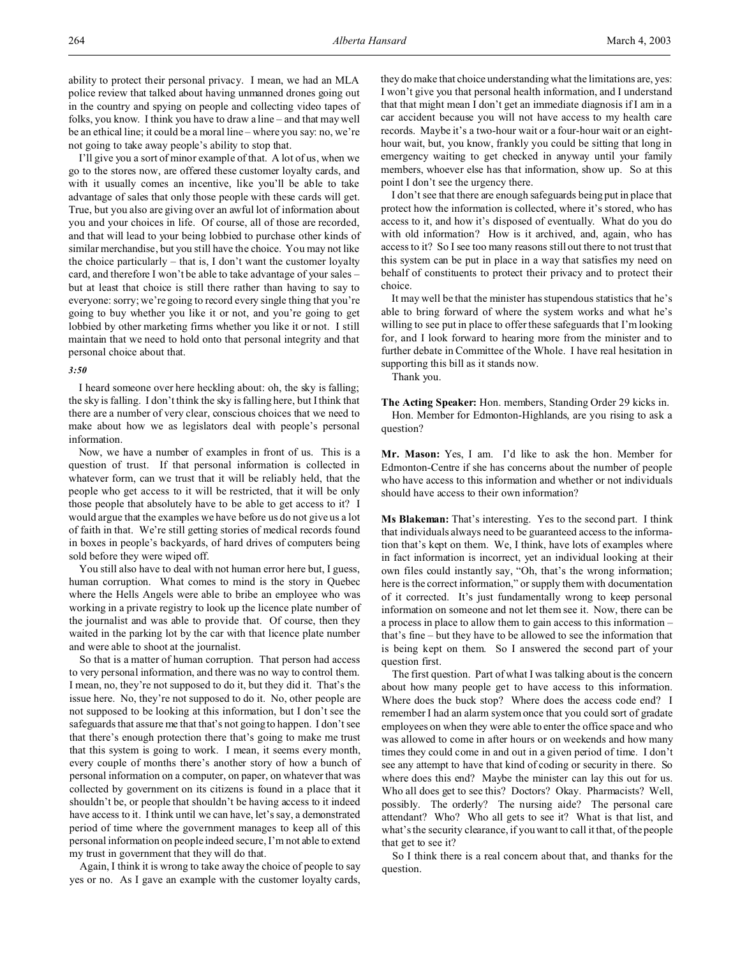I'll give you a sort of minor example of that. A lot of us, when we go to the stores now, are offered these customer loyalty cards, and with it usually comes an incentive, like you'll be able to take advantage of sales that only those people with these cards will get. True, but you also are giving over an awful lot of information about you and your choices in life. Of course, all of those are recorded, and that will lead to your being lobbied to purchase other kinds of similar merchandise, but you still have the choice. You may not like the choice particularly – that is, I don't want the customer loyalty card, and therefore I won't be able to take advantage of your sales – but at least that choice is still there rather than having to say to everyone: sorry; we're going to record every single thing that you're going to buy whether you like it or not, and you're going to get lobbied by other marketing firms whether you like it or not. I still maintain that we need to hold onto that personal integrity and that personal choice about that.

## *3:50*

I heard someone over here heckling about: oh, the sky is falling; the sky is falling. I don't think the sky is falling here, but I think that there are a number of very clear, conscious choices that we need to make about how we as legislators deal with people's personal information.

Now, we have a number of examples in front of us. This is a question of trust. If that personal information is collected in whatever form, can we trust that it will be reliably held, that the people who get access to it will be restricted, that it will be only those people that absolutely have to be able to get access to it? I would argue that the examples we have before us do not give us a lot of faith in that. We're still getting stories of medical records found in boxes in people's backyards, of hard drives of computers being sold before they were wiped off.

You still also have to deal with not human error here but, I guess, human corruption. What comes to mind is the story in Quebec where the Hells Angels were able to bribe an employee who was working in a private registry to look up the licence plate number of the journalist and was able to provide that. Of course, then they waited in the parking lot by the car with that licence plate number and were able to shoot at the journalist.

So that is a matter of human corruption. That person had access to very personal information, and there was no way to control them. I mean, no, they're not supposed to do it, but they did it. That's the issue here. No, they're not supposed to do it. No, other people are not supposed to be looking at this information, but I don't see the safeguards that assure me that that's not going to happen. I don't see that there's enough protection there that's going to make me trust that this system is going to work. I mean, it seems every month, every couple of months there's another story of how a bunch of personal information on a computer, on paper, on whatever that was collected by government on its citizens is found in a place that it shouldn't be, or people that shouldn't be having access to it indeed have access to it. I think until we can have, let's say, a demonstrated period of time where the government manages to keep all of this personal information on people indeed secure, I'm not able to extend my trust in government that they will do that.

Again, I think it is wrong to take away the choice of people to say yes or no. As I gave an example with the customer loyalty cards, they do make that choice understanding what the limitations are, yes: I won't give you that personal health information, and I understand that that might mean I don't get an immediate diagnosis if I am in a car accident because you will not have access to my health care records. Maybe it's a two-hour wait or a four-hour wait or an eighthour wait, but, you know, frankly you could be sitting that long in emergency waiting to get checked in anyway until your family members, whoever else has that information, show up. So at this point I don't see the urgency there.

I don't see that there are enough safeguards being put in place that protect how the information is collected, where it's stored, who has access to it, and how it's disposed of eventually. What do you do with old information? How is it archived, and, again, who has access to it? So I see too many reasons still out there to not trust that this system can be put in place in a way that satisfies my need on behalf of constituents to protect their privacy and to protect their choice.

It may well be that the minister has stupendous statistics that he's able to bring forward of where the system works and what he's willing to see put in place to offer these safeguards that I'm looking for, and I look forward to hearing more from the minister and to further debate in Committee of the Whole. I have real hesitation in supporting this bill as it stands now.

Thank you.

**The Acting Speaker:** Hon. members, Standing Order 29 kicks in. Hon. Member for Edmonton-Highlands, are you rising to ask a question?

**Mr. Mason:** Yes, I am. I'd like to ask the hon. Member for Edmonton-Centre if she has concerns about the number of people who have access to this information and whether or not individuals should have access to their own information?

**Ms Blakeman:** That's interesting. Yes to the second part. I think that individuals always need to be guaranteed access to the information that's kept on them. We, I think, have lots of examples where in fact information is incorrect, yet an individual looking at their own files could instantly say, "Oh, that's the wrong information; here is the correct information," or supply them with documentation of it corrected. It's just fundamentally wrong to keep personal information on someone and not let them see it. Now, there can be a process in place to allow them to gain access to this information – that's fine – but they have to be allowed to see the information that is being kept on them. So I answered the second part of your question first.

The first question. Part of what I was talking about is the concern about how many people get to have access to this information. Where does the buck stop? Where does the access code end? I remember I had an alarm system once that you could sort of gradate employees on when they were able to enter the office space and who was allowed to come in after hours or on weekends and how many times they could come in and out in a given period of time. I don't see any attempt to have that kind of coding or security in there. So where does this end? Maybe the minister can lay this out for us. Who all does get to see this? Doctors? Okay. Pharmacists? Well, possibly. The orderly? The nursing aide? The personal care attendant? Who? Who all gets to see it? What is that list, and what's the security clearance, if you want to call it that, of the people that get to see it?

So I think there is a real concern about that, and thanks for the question.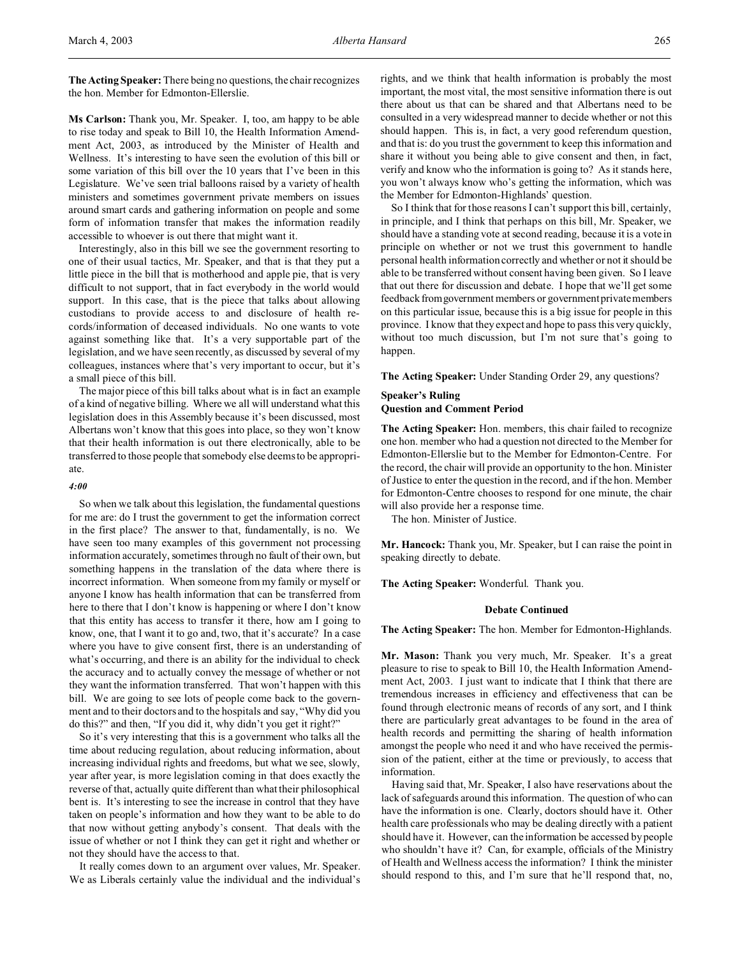**The Acting Speaker:** There being no questions, the chair recognizes the hon. Member for Edmonton-Ellerslie.

**Ms Carlson:** Thank you, Mr. Speaker. I, too, am happy to be able to rise today and speak to Bill 10, the Health Information Amendment Act, 2003, as introduced by the Minister of Health and Wellness. It's interesting to have seen the evolution of this bill or some variation of this bill over the 10 years that I've been in this Legislature. We've seen trial balloons raised by a variety of health ministers and sometimes government private members on issues around smart cards and gathering information on people and some form of information transfer that makes the information readily accessible to whoever is out there that might want it.

Interestingly, also in this bill we see the government resorting to one of their usual tactics, Mr. Speaker, and that is that they put a little piece in the bill that is motherhood and apple pie, that is very difficult to not support, that in fact everybody in the world would support. In this case, that is the piece that talks about allowing custodians to provide access to and disclosure of health records/information of deceased individuals. No one wants to vote against something like that. It's a very supportable part of the legislation, and we have seen recently, as discussed by several of my colleagues, instances where that's very important to occur, but it's a small piece of this bill.

The major piece of this bill talks about what is in fact an example of a kind of negative billing. Where we all will understand what this legislation does in this Assembly because it's been discussed, most Albertans won't know that this goes into place, so they won't know that their health information is out there electronically, able to be transferred to those people that somebody else deems to be appropriate.

#### *4:00*

So when we talk about this legislation, the fundamental questions for me are: do I trust the government to get the information correct in the first place? The answer to that, fundamentally, is no. We have seen too many examples of this government not processing information accurately, sometimes through no fault of their own, but something happens in the translation of the data where there is incorrect information. When someone from my family or myself or anyone I know has health information that can be transferred from here to there that I don't know is happening or where I don't know that this entity has access to transfer it there, how am I going to know, one, that I want it to go and, two, that it's accurate? In a case where you have to give consent first, there is an understanding of what's occurring, and there is an ability for the individual to check the accuracy and to actually convey the message of whether or not they want the information transferred. That won't happen with this bill. We are going to see lots of people come back to the government and to their doctors and to the hospitals and say, "Why did you do this?" and then, "If you did it, why didn't you get it right?"

So it's very interesting that this is a government who talks all the time about reducing regulation, about reducing information, about increasing individual rights and freedoms, but what we see, slowly, year after year, is more legislation coming in that does exactly the reverse of that, actually quite different than what their philosophical bent is. It's interesting to see the increase in control that they have taken on people's information and how they want to be able to do that now without getting anybody's consent. That deals with the issue of whether or not I think they can get it right and whether or not they should have the access to that.

It really comes down to an argument over values, Mr. Speaker. We as Liberals certainly value the individual and the individual's

rights, and we think that health information is probably the most important, the most vital, the most sensitive information there is out there about us that can be shared and that Albertans need to be consulted in a very widespread manner to decide whether or not this should happen. This is, in fact, a very good referendum question, and that is: do you trust the government to keep this information and share it without you being able to give consent and then, in fact, verify and know who the information is going to? As it stands here, you won't always know who's getting the information, which was the Member for Edmonton-Highlands' question.

So I think that for those reasons I can't support this bill, certainly, in principle, and I think that perhaps on this bill, Mr. Speaker, we should have a standing vote at second reading, because it is a vote in principle on whether or not we trust this government to handle personal health information correctly and whether or not it should be able to be transferred without consent having been given. So I leave that out there for discussion and debate. I hope that we'll get some feedback from government members or government private members on this particular issue, because this is a big issue for people in this province. I know that they expect and hope to pass this very quickly, without too much discussion, but I'm not sure that's going to happen.

**The Acting Speaker:** Under Standing Order 29, any questions?

### **Speaker's Ruling Question and Comment Period**

**The Acting Speaker:** Hon. members, this chair failed to recognize one hon. member who had a question not directed to the Member for Edmonton-Ellerslie but to the Member for Edmonton-Centre. For the record, the chair will provide an opportunity to the hon. Minister of Justice to enter the question in the record, and if the hon. Member for Edmonton-Centre chooses to respond for one minute, the chair will also provide her a response time.

The hon. Minister of Justice.

**Mr. Hancock:** Thank you, Mr. Speaker, but I can raise the point in speaking directly to debate.

**The Acting Speaker:** Wonderful. Thank you.

#### **Debate Continued**

**The Acting Speaker:** The hon. Member for Edmonton-Highlands.

**Mr. Mason:** Thank you very much, Mr. Speaker. It's a great pleasure to rise to speak to Bill 10, the Health Information Amendment Act, 2003. I just want to indicate that I think that there are tremendous increases in efficiency and effectiveness that can be found through electronic means of records of any sort, and I think there are particularly great advantages to be found in the area of health records and permitting the sharing of health information amongst the people who need it and who have received the permission of the patient, either at the time or previously, to access that information.

Having said that, Mr. Speaker, I also have reservations about the lack of safeguards around this information. The question of who can have the information is one. Clearly, doctors should have it. Other health care professionals who may be dealing directly with a patient should have it. However, can the information be accessed by people who shouldn't have it? Can, for example, officials of the Ministry of Health and Wellness access the information? I think the minister should respond to this, and I'm sure that he'll respond that, no,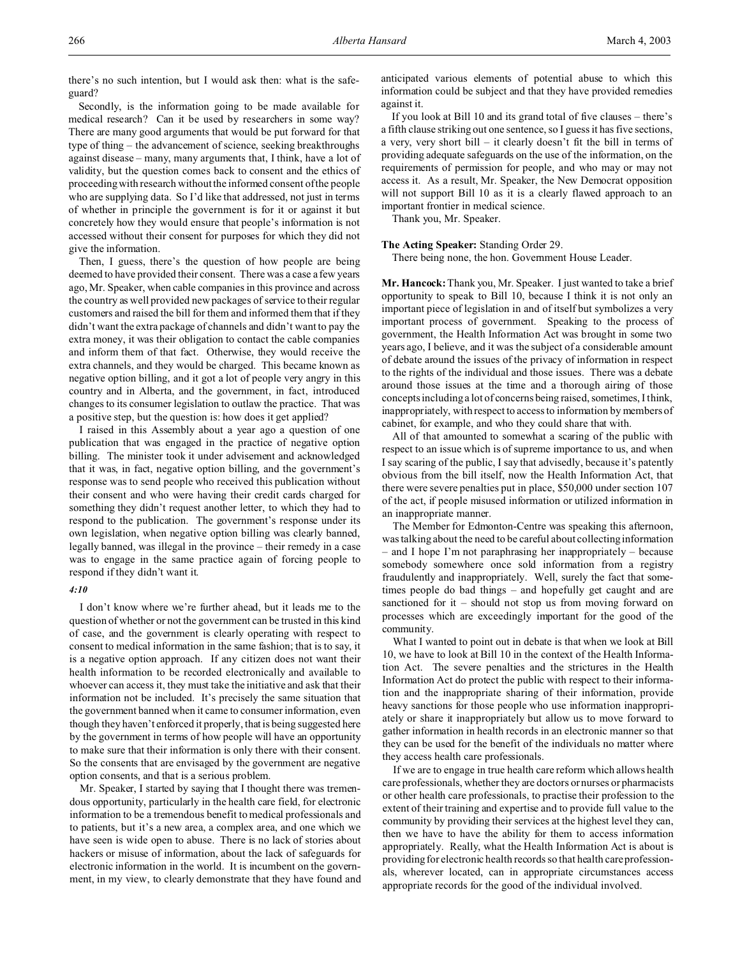there's no such intention, but I would ask then: what is the safeguard?

Secondly, is the information going to be made available for medical research? Can it be used by researchers in some way? There are many good arguments that would be put forward for that type of thing – the advancement of science, seeking breakthroughs against disease – many, many arguments that, I think, have a lot of validity, but the question comes back to consent and the ethics of proceeding with research without the informed consent of the people who are supplying data. So I'd like that addressed, not just in terms of whether in principle the government is for it or against it but concretely how they would ensure that people's information is not accessed without their consent for purposes for which they did not give the information.

Then, I guess, there's the question of how people are being deemed to have provided their consent. There was a case a few years ago, Mr. Speaker, when cable companies in this province and across the country as well provided new packages of service to their regular customers and raised the bill for them and informed them that if they didn't want the extra package of channels and didn't want to pay the extra money, it was their obligation to contact the cable companies and inform them of that fact. Otherwise, they would receive the extra channels, and they would be charged. This became known as negative option billing, and it got a lot of people very angry in this country and in Alberta, and the government, in fact, introduced changes to its consumer legislation to outlaw the practice. That was a positive step, but the question is: how does it get applied?

I raised in this Assembly about a year ago a question of one publication that was engaged in the practice of negative option billing. The minister took it under advisement and acknowledged that it was, in fact, negative option billing, and the government's response was to send people who received this publication without their consent and who were having their credit cards charged for something they didn't request another letter, to which they had to respond to the publication. The government's response under its own legislation, when negative option billing was clearly banned, legally banned, was illegal in the province – their remedy in a case was to engage in the same practice again of forcing people to respond if they didn't want it.

### *4:10*

I don't know where we're further ahead, but it leads me to the question of whether or not the government can be trusted in this kind of case, and the government is clearly operating with respect to consent to medical information in the same fashion; that is to say, it is a negative option approach. If any citizen does not want their health information to be recorded electronically and available to whoever can access it, they must take the initiative and ask that their information not be included. It's precisely the same situation that the government banned when it came to consumer information, even though they haven't enforced it properly, that is being suggested here by the government in terms of how people will have an opportunity to make sure that their information is only there with their consent. So the consents that are envisaged by the government are negative option consents, and that is a serious problem.

Mr. Speaker, I started by saying that I thought there was tremendous opportunity, particularly in the health care field, for electronic information to be a tremendous benefit to medical professionals and to patients, but it's a new area, a complex area, and one which we have seen is wide open to abuse. There is no lack of stories about hackers or misuse of information, about the lack of safeguards for electronic information in the world. It is incumbent on the government, in my view, to clearly demonstrate that they have found and anticipated various elements of potential abuse to which this information could be subject and that they have provided remedies against it.

If you look at Bill 10 and its grand total of five clauses – there's a fifth clause striking out one sentence, so I guess it has five sections, a very, very short bill – it clearly doesn't fit the bill in terms of providing adequate safeguards on the use of the information, on the requirements of permission for people, and who may or may not access it. As a result, Mr. Speaker, the New Democrat opposition will not support Bill 10 as it is a clearly flawed approach to an important frontier in medical science.

Thank you, Mr. Speaker.

#### **The Acting Speaker:** Standing Order 29.

There being none, the hon. Government House Leader.

**Mr. Hancock:** Thank you, Mr. Speaker. I just wanted to take a brief opportunity to speak to Bill 10, because I think it is not only an important piece of legislation in and of itself but symbolizes a very important process of government. Speaking to the process of government, the Health Information Act was brought in some two years ago, I believe, and it was the subject of a considerable amount of debate around the issues of the privacy of information in respect to the rights of the individual and those issues. There was a debate around those issues at the time and a thorough airing of those concepts including a lot of concerns being raised, sometimes, I think, inappropriately, with respect to access to information by members of cabinet, for example, and who they could share that with.

All of that amounted to somewhat a scaring of the public with respect to an issue which is of supreme importance to us, and when I say scaring of the public, I say that advisedly, because it's patently obvious from the bill itself, now the Health Information Act, that there were severe penalties put in place, \$50,000 under section 107 of the act, if people misused information or utilized information in an inappropriate manner.

The Member for Edmonton-Centre was speaking this afternoon, was talking about the need to be careful about collecting information – and I hope I'm not paraphrasing her inappropriately – because somebody somewhere once sold information from a registry fraudulently and inappropriately. Well, surely the fact that sometimes people do bad things – and hopefully get caught and are sanctioned for it – should not stop us from moving forward on processes which are exceedingly important for the good of the community.

What I wanted to point out in debate is that when we look at Bill 10, we have to look at Bill 10 in the context of the Health Information Act. The severe penalties and the strictures in the Health Information Act do protect the public with respect to their information and the inappropriate sharing of their information, provide heavy sanctions for those people who use information inappropriately or share it inappropriately but allow us to move forward to gather information in health records in an electronic manner so that they can be used for the benefit of the individuals no matter where they access health care professionals.

If we are to engage in true health care reform which allows health care professionals, whether they are doctors or nurses or pharmacists or other health care professionals, to practise their profession to the extent of their training and expertise and to provide full value to the community by providing their services at the highest level they can, then we have to have the ability for them to access information appropriately. Really, what the Health Information Act is about is providing for electronic health records so that health care professionals, wherever located, can in appropriate circumstances access appropriate records for the good of the individual involved.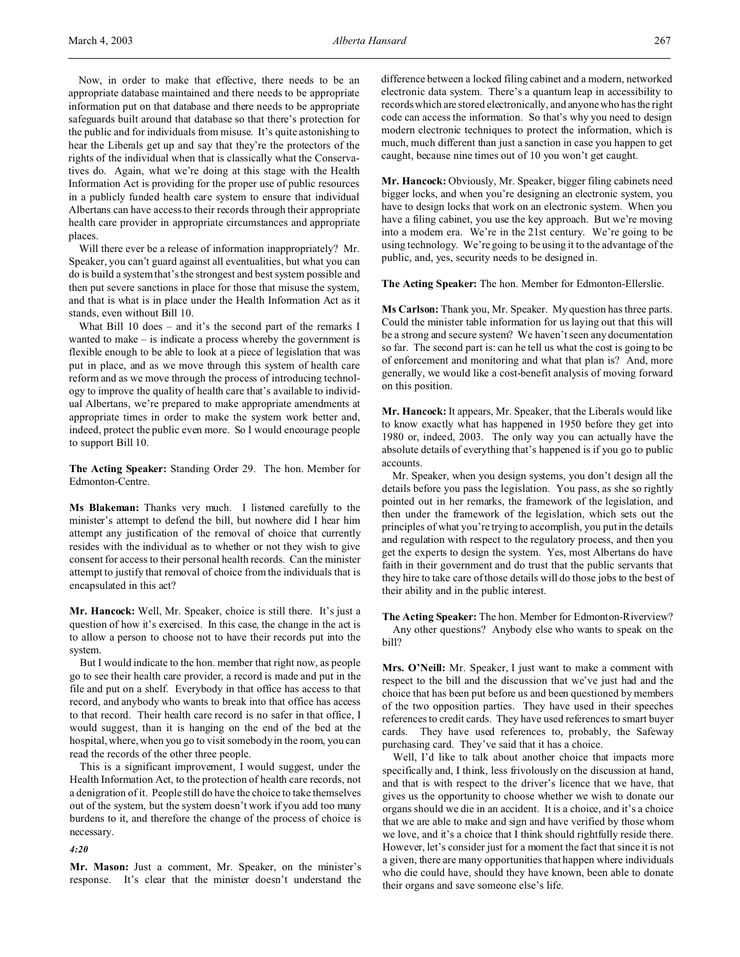Now, in order to make that effective, there needs to be an appropriate database maintained and there needs to be appropriate information put on that database and there needs to be appropriate safeguards built around that database so that there's protection for the public and for individuals from misuse. It's quite astonishing to hear the Liberals get up and say that they're the protectors of the rights of the individual when that is classically what the Conservatives do. Again, what we're doing at this stage with the Health Information Act is providing for the proper use of public resources in a publicly funded health care system to ensure that individual Albertans can have access to their records through their appropriate health care provider in appropriate circumstances and appropriate places.

Will there ever be a release of information inappropriately? Mr. Speaker, you can't guard against all eventualities, but what you can do is build a system that's the strongest and best system possible and then put severe sanctions in place for those that misuse the system, and that is what is in place under the Health Information Act as it stands, even without Bill 10.

What Bill 10 does – and it's the second part of the remarks I wanted to make – is indicate a process whereby the government is flexible enough to be able to look at a piece of legislation that was put in place, and as we move through this system of health care reform and as we move through the process of introducing technology to improve the quality of health care that's available to individual Albertans, we're prepared to make appropriate amendments at appropriate times in order to make the system work better and, indeed, protect the public even more. So I would encourage people to support Bill 10.

**The Acting Speaker:** Standing Order 29. The hon. Member for Edmonton-Centre.

**Ms Blakeman:** Thanks very much. I listened carefully to the minister's attempt to defend the bill, but nowhere did I hear him attempt any justification of the removal of choice that currently resides with the individual as to whether or not they wish to give consent for access to their personal health records. Can the minister attempt to justify that removal of choice from the individuals that is encapsulated in this act?

**Mr. Hancock:** Well, Mr. Speaker, choice is still there. It's just a question of how it's exercised. In this case, the change in the act is to allow a person to choose not to have their records put into the system.

But I would indicate to the hon. member that right now, as people go to see their health care provider, a record is made and put in the file and put on a shelf. Everybody in that office has access to that record, and anybody who wants to break into that office has access to that record. Their health care record is no safer in that office, I would suggest, than it is hanging on the end of the bed at the hospital, where, when you go to visit somebody in the room, you can read the records of the other three people.

This is a significant improvement, I would suggest, under the Health Information Act, to the protection of health care records, not a denigration of it. People still do have the choice to take themselves out of the system, but the system doesn't work if you add too many burdens to it, and therefore the change of the process of choice is necessary.

*4:20*

**Mr. Mason:** Just a comment, Mr. Speaker, on the minister's response. It's clear that the minister doesn't understand the

difference between a locked filing cabinet and a modern, networked electronic data system. There's a quantum leap in accessibility to records which are stored electronically, and anyone who has the right code can access the information. So that's why you need to design modern electronic techniques to protect the information, which is much, much different than just a sanction in case you happen to get caught, because nine times out of 10 you won't get caught.

**Mr. Hancock:** Obviously, Mr. Speaker, bigger filing cabinets need bigger locks, and when you're designing an electronic system, you have to design locks that work on an electronic system. When you have a filing cabinet, you use the key approach. But we're moving into a modern era. We're in the 21st century. We're going to be using technology. We're going to be using it to the advantage of the public, and, yes, security needs to be designed in.

**The Acting Speaker:** The hon. Member for Edmonton-Ellerslie.

**Ms Carlson:** Thank you, Mr. Speaker. My question has three parts. Could the minister table information for us laying out that this will be a strong and secure system? We haven't seen any documentation so far. The second part is: can he tell us what the cost is going to be of enforcement and monitoring and what that plan is? And, more generally, we would like a cost-benefit analysis of moving forward on this position.

**Mr. Hancock:** It appears, Mr. Speaker, that the Liberals would like to know exactly what has happened in 1950 before they get into 1980 or, indeed, 2003. The only way you can actually have the absolute details of everything that's happened is if you go to public accounts.

Mr. Speaker, when you design systems, you don't design all the details before you pass the legislation. You pass, as she so rightly pointed out in her remarks, the framework of the legislation, and then under the framework of the legislation, which sets out the principles of what you're trying to accomplish, you put in the details and regulation with respect to the regulatory process, and then you get the experts to design the system. Yes, most Albertans do have faith in their government and do trust that the public servants that they hire to take care of those details will do those jobs to the best of their ability and in the public interest.

**The Acting Speaker:** The hon. Member for Edmonton-Riverview? Any other questions? Anybody else who wants to speak on the bill?

**Mrs. O'Neill:** Mr. Speaker, I just want to make a comment with respect to the bill and the discussion that we've just had and the choice that has been put before us and been questioned by members of the two opposition parties. They have used in their speeches references to credit cards. They have used references to smart buyer cards. They have used references to, probably, the Safeway purchasing card. They've said that it has a choice.

Well, I'd like to talk about another choice that impacts more specifically and, I think, less frivolously on the discussion at hand, and that is with respect to the driver's licence that we have, that gives us the opportunity to choose whether we wish to donate our organs should we die in an accident. It is a choice, and it's a choice that we are able to make and sign and have verified by those whom we love, and it's a choice that I think should rightfully reside there. However, let's consider just for a moment the fact that since it is not a given, there are many opportunities that happen where individuals who die could have, should they have known, been able to donate their organs and save someone else's life.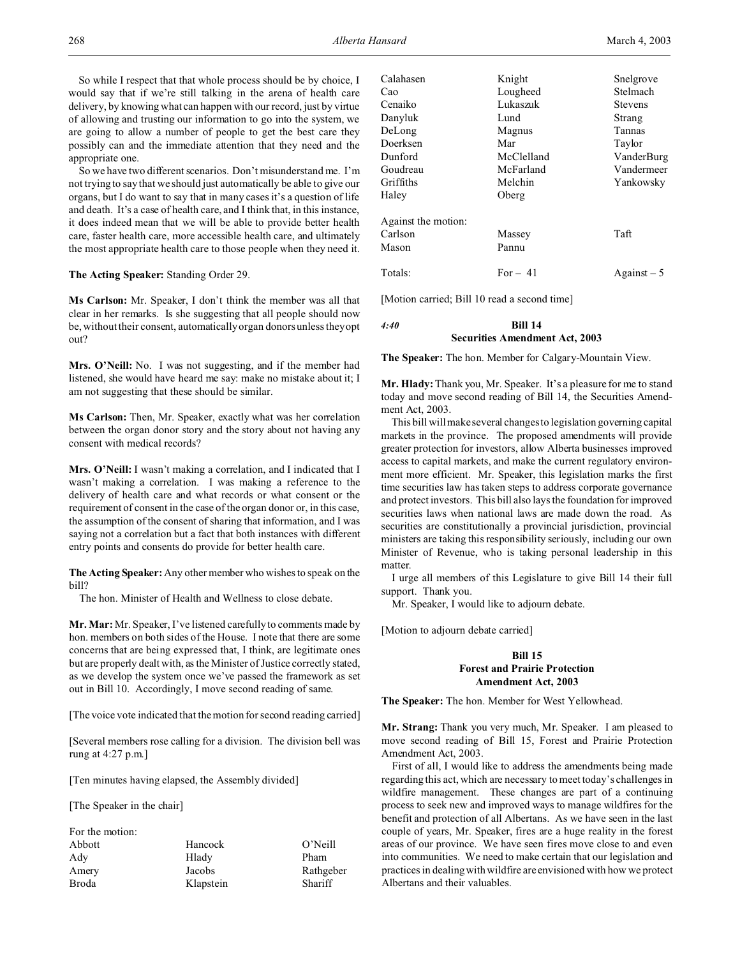So while I respect that that whole process should be by choice, I would say that if we're still talking in the arena of health care delivery, by knowing what can happen with our record, just by virtue of allowing and trusting our information to go into the system, we are going to allow a number of people to get the best care they possibly can and the immediate attention that they need and the appropriate one.

So we have two different scenarios. Don't misunderstand me. I'm not trying to say that we should just automatically be able to give our organs, but I do want to say that in many cases it's a question of life and death. It's a case of health care, and I think that, in this instance, it does indeed mean that we will be able to provide better health care, faster health care, more accessible health care, and ultimately the most appropriate health care to those people when they need it.

**The Acting Speaker:** Standing Order 29.

**Ms Carlson:** Mr. Speaker, I don't think the member was all that clear in her remarks. Is she suggesting that all people should now be, without their consent, automatically organ donors unless they opt out?

**Mrs. O'Neill:** No. I was not suggesting, and if the member had listened, she would have heard me say: make no mistake about it; I am not suggesting that these should be similar.

**Ms Carlson:** Then, Mr. Speaker, exactly what was her correlation between the organ donor story and the story about not having any consent with medical records?

**Mrs. O'Neill:** I wasn't making a correlation, and I indicated that I wasn't making a correlation. I was making a reference to the delivery of health care and what records or what consent or the requirement of consent in the case of the organ donor or, in this case, the assumption of the consent of sharing that information, and I was saying not a correlation but a fact that both instances with different entry points and consents do provide for better health care.

**The Acting Speaker:** Any other member who wishes to speak on the bill?

The hon. Minister of Health and Wellness to close debate.

**Mr. Mar:** Mr. Speaker, I've listened carefully to comments made by hon. members on both sides of the House. I note that there are some concerns that are being expressed that, I think, are legitimate ones but are properly dealt with, as the Minister of Justice correctly stated, as we develop the system once we've passed the framework as set out in Bill 10. Accordingly, I move second reading of same.

[The voice vote indicated that the motion for second reading carried]

[Several members rose calling for a division. The division bell was rung at 4:27 p.m.]

[Ten minutes having elapsed, the Assembly divided]

[The Speaker in the chair]

| For the motion: |           |           |
|-----------------|-----------|-----------|
| Abbott          | Hancock   | O'Neill   |
| Ady             | Hlady     | Pham      |
| Amery           | Jacobs    | Rathgeber |
| Broda           | Klapstein | Shariff   |

| Calahasen           | Knight     | Snelgrove          |
|---------------------|------------|--------------------|
| Cao                 | Lougheed   | Stelmach           |
| Cenaiko             | Lukaszuk   | <b>Stevens</b>     |
| Danyluk             | Lund       | Strang             |
| DeLong              | Magnus     | Tannas             |
| Doerksen            | Mar        | Taylor             |
| Dunford             | McClelland | VanderBurg         |
| Goudreau            | McFarland  | Vandermeer         |
| Griffiths           | Melchin    | Yankowsky          |
| Haley               | Oberg      |                    |
| Against the motion: |            |                    |
| Carlson             | Massey     | Taft               |
| Mason               | Pannu      |                    |
| Totals:             | For $-41$  | $\text{Again}$ = 5 |
|                     |            |                    |

[Motion carried; Bill 10 read a second time]

## *4:40* **Bill 14 Securities Amendment Act, 2003**

**The Speaker:** The hon. Member for Calgary-Mountain View.

**Mr. Hlady:** Thank you, Mr. Speaker. It's a pleasure for me to stand today and move second reading of Bill 14, the Securities Amendment Act, 2003.

This bill will make several changes to legislation governing capital markets in the province. The proposed amendments will provide greater protection for investors, allow Alberta businesses improved access to capital markets, and make the current regulatory environment more efficient. Mr. Speaker, this legislation marks the first time securities law has taken steps to address corporate governance and protect investors. This bill also lays the foundation for improved securities laws when national laws are made down the road. As securities are constitutionally a provincial jurisdiction, provincial ministers are taking this responsibility seriously, including our own Minister of Revenue, who is taking personal leadership in this matter.

I urge all members of this Legislature to give Bill 14 their full support. Thank you.

Mr. Speaker, I would like to adjourn debate.

[Motion to adjourn debate carried]

## **Bill 15 Forest and Prairie Protection Amendment Act, 2003**

**The Speaker:** The hon. Member for West Yellowhead.

**Mr. Strang:** Thank you very much, Mr. Speaker. I am pleased to move second reading of Bill 15, Forest and Prairie Protection Amendment Act, 2003.

First of all, I would like to address the amendments being made regarding this act, which are necessary to meet today's challenges in wildfire management. These changes are part of a continuing process to seek new and improved ways to manage wildfires for the benefit and protection of all Albertans. As we have seen in the last couple of years, Mr. Speaker, fires are a huge reality in the forest areas of our province. We have seen fires move close to and even into communities. We need to make certain that our legislation and practices in dealing with wildfire are envisioned with how we protect Albertans and their valuables.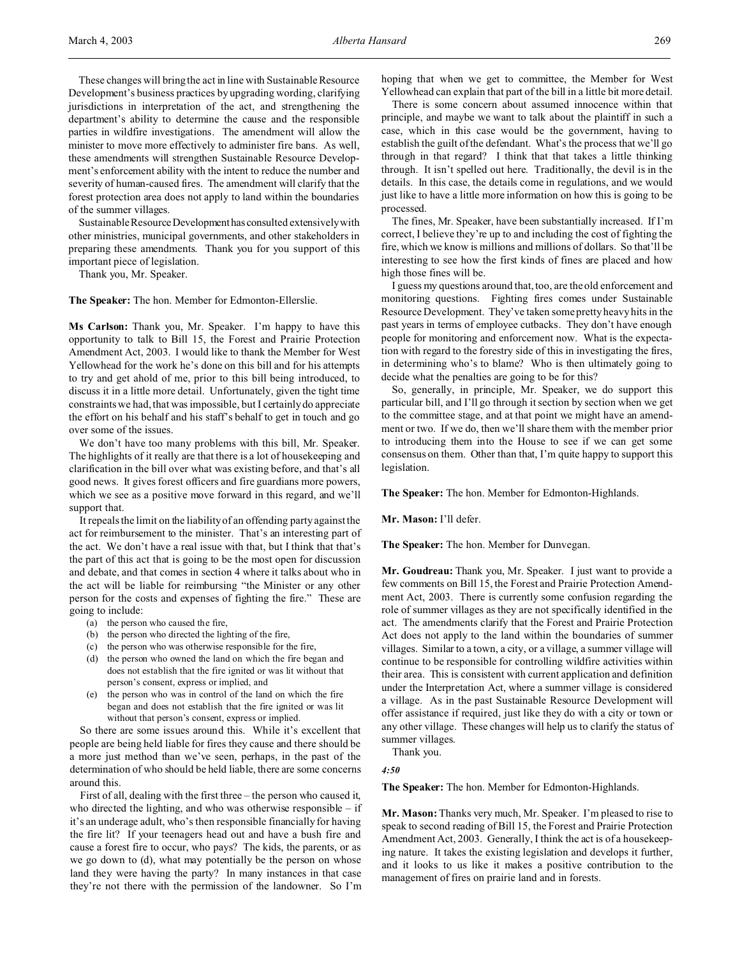These changes will bring the act in line with Sustainable Resource Development's business practices by upgrading wording, clarifying jurisdictions in interpretation of the act, and strengthening the department's ability to determine the cause and the responsible parties in wildfire investigations. The amendment will allow the minister to move more effectively to administer fire bans. As well, these amendments will strengthen Sustainable Resource Development's enforcement ability with the intent to reduce the number and severity of human-caused fires. The amendment will clarify that the forest protection area does not apply to land within the boundaries of the summer villages.

Sustainable ResourceDevelopmenthas consulted extensively with other ministries, municipal governments, and other stakeholders in preparing these amendments. Thank you for you support of this important piece of legislation.

Thank you, Mr. Speaker.

**The Speaker:** The hon. Member for Edmonton-Ellerslie.

**Ms Carlson:** Thank you, Mr. Speaker. I'm happy to have this opportunity to talk to Bill 15, the Forest and Prairie Protection Amendment Act, 2003. I would like to thank the Member for West Yellowhead for the work he's done on this bill and for his attempts to try and get ahold of me, prior to this bill being introduced, to discuss it in a little more detail. Unfortunately, given the tight time constraints we had, that was impossible, but I certainly do appreciate the effort on his behalf and his staff's behalf to get in touch and go over some of the issues.

We don't have too many problems with this bill, Mr. Speaker. The highlights of it really are that there is a lot of housekeeping and clarification in the bill over what was existing before, and that's all good news. It gives forest officers and fire guardians more powers, which we see as a positive move forward in this regard, and we'll support that.

It repeals the limit on the liability of an offending party against the act for reimbursement to the minister. That's an interesting part of the act. We don't have a real issue with that, but I think that that's the part of this act that is going to be the most open for discussion and debate, and that comes in section 4 where it talks about who in the act will be liable for reimbursing "the Minister or any other person for the costs and expenses of fighting the fire." These are going to include:

- (a) the person who caused the fire,
- (b) the person who directed the lighting of the fire,
- (c) the person who was otherwise responsible for the fire,
- (d) the person who owned the land on which the fire began and does not establish that the fire ignited or was lit without that person's consent, express or implied, and
- (e) the person who was in control of the land on which the fire began and does not establish that the fire ignited or was lit without that person's consent, express or implied.

So there are some issues around this. While it's excellent that people are being held liable for fires they cause and there should be a more just method than we've seen, perhaps, in the past of the determination of who should be held liable, there are some concerns around this.

First of all, dealing with the first three – the person who caused it, who directed the lighting, and who was otherwise responsible  $-$  if it's an underage adult, who's then responsible financially for having the fire lit? If your teenagers head out and have a bush fire and cause a forest fire to occur, who pays? The kids, the parents, or as we go down to (d), what may potentially be the person on whose land they were having the party? In many instances in that case they're not there with the permission of the landowner. So I'm hoping that when we get to committee, the Member for West Yellowhead can explain that part of the bill in a little bit more detail.

There is some concern about assumed innocence within that principle, and maybe we want to talk about the plaintiff in such a case, which in this case would be the government, having to establish the guilt of the defendant. What's the process that we'll go through in that regard? I think that that takes a little thinking through. It isn't spelled out here. Traditionally, the devil is in the details. In this case, the details come in regulations, and we would just like to have a little more information on how this is going to be processed.

The fines, Mr. Speaker, have been substantially increased. If I'm correct, I believe they're up to and including the cost of fighting the fire, which we know is millions and millions of dollars. So that'll be interesting to see how the first kinds of fines are placed and how high those fines will be.

I guess my questions around that, too, are the old enforcement and monitoring questions. Fighting fires comes under Sustainable Resource Development. They've taken some pretty heavy hits in the past years in terms of employee cutbacks. They don't have enough people for monitoring and enforcement now. What is the expectation with regard to the forestry side of this in investigating the fires, in determining who's to blame? Who is then ultimately going to decide what the penalties are going to be for this?

So, generally, in principle, Mr. Speaker, we do support this particular bill, and I'll go through it section by section when we get to the committee stage, and at that point we might have an amendment or two. If we do, then we'll share them with the member prior to introducing them into the House to see if we can get some consensus on them. Other than that, I'm quite happy to support this legislation.

**The Speaker:** The hon. Member for Edmonton-Highlands.

**Mr. Mason:** I'll defer.

**The Speaker:** The hon. Member for Dunvegan.

**Mr. Goudreau:** Thank you, Mr. Speaker. I just want to provide a few comments on Bill 15, the Forest and Prairie Protection Amendment Act, 2003. There is currently some confusion regarding the role of summer villages as they are not specifically identified in the act. The amendments clarify that the Forest and Prairie Protection Act does not apply to the land within the boundaries of summer villages. Similar to a town, a city, or a village, a summer village will continue to be responsible for controlling wildfire activities within their area. This is consistent with current application and definition under the Interpretation Act, where a summer village is considered a village. As in the past Sustainable Resource Development will offer assistance if required, just like they do with a city or town or any other village. These changes will help us to clarify the status of summer villages.

Thank you.

*4:50*

**The Speaker:** The hon. Member for Edmonton-Highlands.

**Mr. Mason:** Thanks very much, Mr. Speaker. I'm pleased to rise to speak to second reading of Bill 15, the Forest and Prairie Protection Amendment Act, 2003. Generally, I think the act is of a housekeeping nature. It takes the existing legislation and develops it further, and it looks to us like it makes a positive contribution to the management of fires on prairie land and in forests.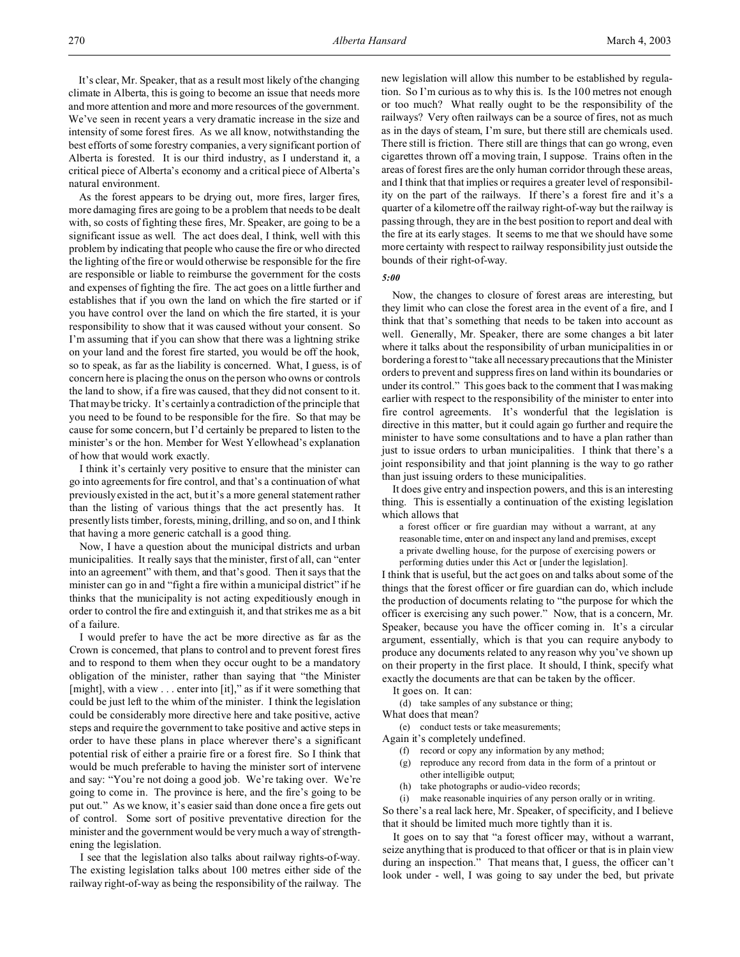It's clear, Mr. Speaker, that as a result most likely of the changing climate in Alberta, this is going to become an issue that needs more and more attention and more and more resources of the government. We've seen in recent years a very dramatic increase in the size and intensity of some forest fires. As we all know, notwithstanding the best efforts of some forestry companies, a very significant portion of Alberta is forested. It is our third industry, as I understand it, a critical piece of Alberta's economy and a critical piece of Alberta's natural environment.

As the forest appears to be drying out, more fires, larger fires, more damaging fires are going to be a problem that needs to be dealt with, so costs of fighting these fires, Mr. Speaker, are going to be a significant issue as well. The act does deal, I think, well with this problem by indicating that people who cause the fire or who directed the lighting of the fire or would otherwise be responsible for the fire are responsible or liable to reimburse the government for the costs and expenses of fighting the fire. The act goes on a little further and establishes that if you own the land on which the fire started or if you have control over the land on which the fire started, it is your responsibility to show that it was caused without your consent. So I'm assuming that if you can show that there was a lightning strike on your land and the forest fire started, you would be off the hook, so to speak, as far as the liability is concerned. What, I guess, is of concern here is placing the onus on the person who owns or controls the land to show, if a fire was caused, that they did not consent to it. That may be tricky. It's certainly a contradiction of the principle that you need to be found to be responsible for the fire. So that may be cause for some concern, but I'd certainly be prepared to listen to the minister's or the hon. Member for West Yellowhead's explanation of how that would work exactly.

I think it's certainly very positive to ensure that the minister can go into agreements for fire control, and that's a continuation of what previously existed in the act, but it's a more general statement rather than the listing of various things that the act presently has. It presently lists timber, forests, mining, drilling, and so on, and I think that having a more generic catchall is a good thing.

Now, I have a question about the municipal districts and urban municipalities. It really says that the minister, first of all, can "enter into an agreement" with them, and that's good. Then it says that the minister can go in and "fight a fire within a municipal district" if he thinks that the municipality is not acting expeditiously enough in order to control the fire and extinguish it, and that strikes me as a bit of a failure.

I would prefer to have the act be more directive as far as the Crown is concerned, that plans to control and to prevent forest fires and to respond to them when they occur ought to be a mandatory obligation of the minister, rather than saying that "the Minister [might], with a view . . . enter into [it]," as if it were something that could be just left to the whim of the minister. I think the legislation could be considerably more directive here and take positive, active steps and require the government to take positive and active steps in order to have these plans in place wherever there's a significant potential risk of either a prairie fire or a forest fire. So I think that would be much preferable to having the minister sort of intervene and say: "You're not doing a good job. We're taking over. We're going to come in. The province is here, and the fire's going to be put out." As we know, it's easier said than done once a fire gets out of control. Some sort of positive preventative direction for the minister and the government would be very much a way of strengthening the legislation.

I see that the legislation also talks about railway rights-of-way. The existing legislation talks about 100 metres either side of the railway right-of-way as being the responsibility of the railway. The

new legislation will allow this number to be established by regulation. So I'm curious as to why this is. Is the 100 metres not enough or too much? What really ought to be the responsibility of the railways? Very often railways can be a source of fires, not as much as in the days of steam, I'm sure, but there still are chemicals used. There still is friction. There still are things that can go wrong, even cigarettes thrown off a moving train, I suppose. Trains often in the areas of forest fires are the only human corridor through these areas, and I think that that implies or requires a greater level of responsibility on the part of the railways. If there's a forest fire and it's a quarter of a kilometre off the railway right-of-way but the railway is passing through, they are in the best position to report and deal with the fire at its early stages. It seems to me that we should have some more certainty with respect to railway responsibility just outside the bounds of their right-of-way.

*5:00*

Now, the changes to closure of forest areas are interesting, but they limit who can close the forest area in the event of a fire, and I think that that's something that needs to be taken into account as well. Generally, Mr. Speaker, there are some changes a bit later where it talks about the responsibility of urban municipalities in or bordering a forest to "take all necessary precautions that the Minister orders to prevent and suppress fires on land within its boundaries or under its control." This goes back to the comment that I was making earlier with respect to the responsibility of the minister to enter into fire control agreements. It's wonderful that the legislation is directive in this matter, but it could again go further and require the minister to have some consultations and to have a plan rather than just to issue orders to urban municipalities. I think that there's a joint responsibility and that joint planning is the way to go rather than just issuing orders to these municipalities.

It does give entry and inspection powers, and this is an interesting thing. This is essentially a continuation of the existing legislation which allows that

a forest officer or fire guardian may without a warrant, at any reasonable time, enter on and inspect any land and premises, except a private dwelling house, for the purpose of exercising powers or performing duties under this Act or [under the legislation].

I think that is useful, but the act goes on and talks about some of the things that the forest officer or fire guardian can do, which include the production of documents relating to "the purpose for which the officer is exercising any such power." Now, that is a concern, Mr. Speaker, because you have the officer coming in. It's a circular argument, essentially, which is that you can require anybody to produce any documents related to any reason why you've shown up on their property in the first place. It should, I think, specify what exactly the documents are that can be taken by the officer.

It goes on. It can:

(d) take samples of any substance or thing;

What does that mean?

(e) conduct tests or take measurements;

Again it's completely undefined.

- (f) record or copy any information by any method;
- (g) reproduce any record from data in the form of a printout or other intelligible output;
- (h) take photographs or audio-video records;

(i) make reasonable inquiries of any person orally or in writing. So there's a real lack here, Mr. Speaker, of specificity, and I believe

that it should be limited much more tightly than it is. It goes on to say that "a forest officer may, without a warrant, seize anything that is produced to that officer or that is in plain view during an inspection." That means that, I guess, the officer can't look under - well, I was going to say under the bed, but private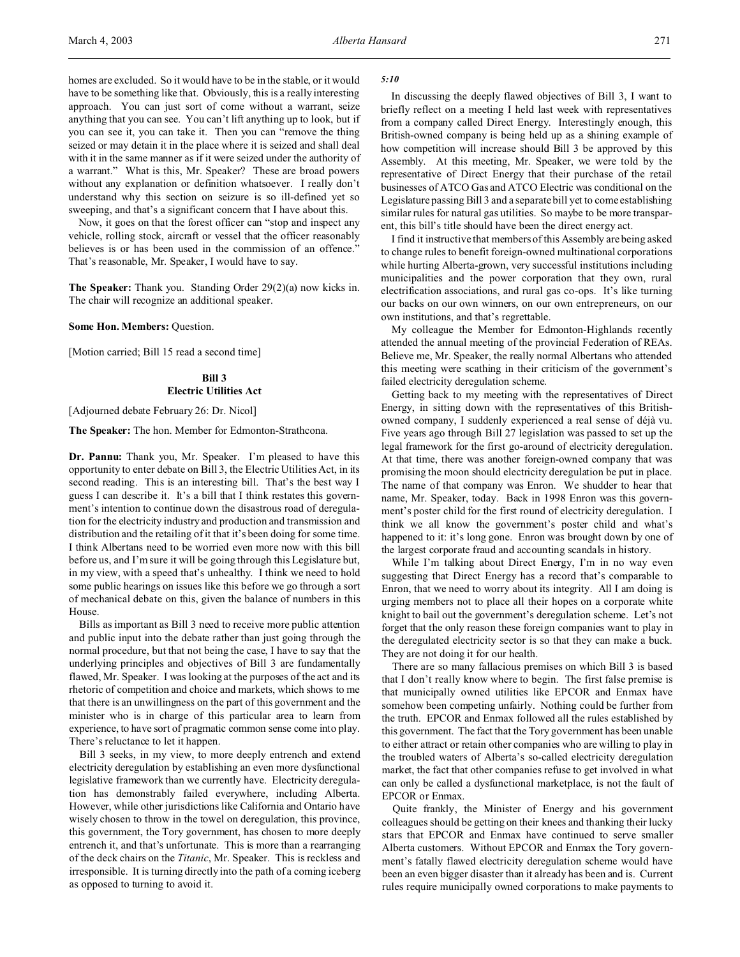homes are excluded. So it would have to be in the stable, or it would have to be something like that. Obviously, this is a really interesting approach. You can just sort of come without a warrant, seize anything that you can see. You can't lift anything up to look, but if you can see it, you can take it. Then you can "remove the thing seized or may detain it in the place where it is seized and shall deal with it in the same manner as if it were seized under the authority of a warrant." What is this, Mr. Speaker? These are broad powers without any explanation or definition whatsoever. I really don't understand why this section on seizure is so ill-defined yet so sweeping, and that's a significant concern that I have about this.

Now, it goes on that the forest officer can "stop and inspect any vehicle, rolling stock, aircraft or vessel that the officer reasonably believes is or has been used in the commission of an offence." That's reasonable, Mr. Speaker, I would have to say.

**The Speaker:** Thank you. Standing Order 29(2)(a) now kicks in. The chair will recognize an additional speaker.

### **Some Hon. Members:** Question.

[Motion carried; Bill 15 read a second time]

# **Bill 3 Electric Utilities Act**

[Adjourned debate February 26: Dr. Nicol]

**The Speaker:** The hon. Member for Edmonton-Strathcona.

**Dr. Pannu:** Thank you, Mr. Speaker. I'm pleased to have this opportunity to enter debate on Bill 3, the Electric Utilities Act, in its second reading. This is an interesting bill. That's the best way I guess I can describe it. It's a bill that I think restates this government's intention to continue down the disastrous road of deregulation for the electricity industry and production and transmission and distribution and the retailing of it that it's been doing for some time. I think Albertans need to be worried even more now with this bill before us, and I'm sure it will be going through this Legislature but, in my view, with a speed that's unhealthy. I think we need to hold some public hearings on issues like this before we go through a sort of mechanical debate on this, given the balance of numbers in this House.

Bills as important as Bill 3 need to receive more public attention and public input into the debate rather than just going through the normal procedure, but that not being the case, I have to say that the underlying principles and objectives of Bill 3 are fundamentally flawed, Mr. Speaker. I was looking at the purposes of the act and its rhetoric of competition and choice and markets, which shows to me that there is an unwillingness on the part of this government and the minister who is in charge of this particular area to learn from experience, to have sort of pragmatic common sense come into play. There's reluctance to let it happen.

Bill 3 seeks, in my view, to more deeply entrench and extend electricity deregulation by establishing an even more dysfunctional legislative framework than we currently have. Electricity deregulation has demonstrably failed everywhere, including Alberta. However, while other jurisdictions like California and Ontario have wisely chosen to throw in the towel on deregulation, this province, this government, the Tory government, has chosen to more deeply entrench it, and that's unfortunate. This is more than a rearranging of the deck chairs on the *Titanic*, Mr. Speaker. This is reckless and irresponsible. It is turning directly into the path of a coming iceberg as opposed to turning to avoid it.

#### *5:10*

In discussing the deeply flawed objectives of Bill 3, I want to briefly reflect on a meeting I held last week with representatives from a company called Direct Energy. Interestingly enough, this British-owned company is being held up as a shining example of how competition will increase should Bill 3 be approved by this Assembly. At this meeting, Mr. Speaker, we were told by the representative of Direct Energy that their purchase of the retail businesses of ATCO Gas and ATCO Electric was conditional on the Legislature passing Bill 3 and a separate bill yet to come establishing similar rules for natural gas utilities. So maybe to be more transparent, this bill's title should have been the direct energy act.

I find it instructive that members of this Assembly are being asked to change rules to benefit foreign-owned multinational corporations while hurting Alberta-grown, very successful institutions including municipalities and the power corporation that they own, rural electrification associations, and rural gas co-ops. It's like turning our backs on our own winners, on our own entrepreneurs, on our own institutions, and that's regrettable.

My colleague the Member for Edmonton-Highlands recently attended the annual meeting of the provincial Federation of REAs. Believe me, Mr. Speaker, the really normal Albertans who attended this meeting were scathing in their criticism of the government's failed electricity deregulation scheme.

Getting back to my meeting with the representatives of Direct Energy, in sitting down with the representatives of this Britishowned company, I suddenly experienced a real sense of déjà vu. Five years ago through Bill 27 legislation was passed to set up the legal framework for the first go-around of electricity deregulation. At that time, there was another foreign-owned company that was promising the moon should electricity deregulation be put in place. The name of that company was Enron. We shudder to hear that name, Mr. Speaker, today. Back in 1998 Enron was this government's poster child for the first round of electricity deregulation. I think we all know the government's poster child and what's happened to it: it's long gone. Enron was brought down by one of the largest corporate fraud and accounting scandals in history.

While I'm talking about Direct Energy, I'm in no way even suggesting that Direct Energy has a record that's comparable to Enron, that we need to worry about its integrity. All I am doing is urging members not to place all their hopes on a corporate white knight to bail out the government's deregulation scheme. Let's not forget that the only reason these foreign companies want to play in the deregulated electricity sector is so that they can make a buck. They are not doing it for our health.

There are so many fallacious premises on which Bill 3 is based that I don't really know where to begin. The first false premise is that municipally owned utilities like EPCOR and Enmax have somehow been competing unfairly. Nothing could be further from the truth. EPCOR and Enmax followed all the rules established by this government. The fact that the Tory government has been unable to either attract or retain other companies who are willing to play in the troubled waters of Alberta's so-called electricity deregulation market, the fact that other companies refuse to get involved in what can only be called a dysfunctional marketplace, is not the fault of EPCOR or Enmax.

Quite frankly, the Minister of Energy and his government colleagues should be getting on their knees and thanking their lucky stars that EPCOR and Enmax have continued to serve smaller Alberta customers. Without EPCOR and Enmax the Tory government's fatally flawed electricity deregulation scheme would have been an even bigger disaster than it already has been and is. Current rules require municipally owned corporations to make payments to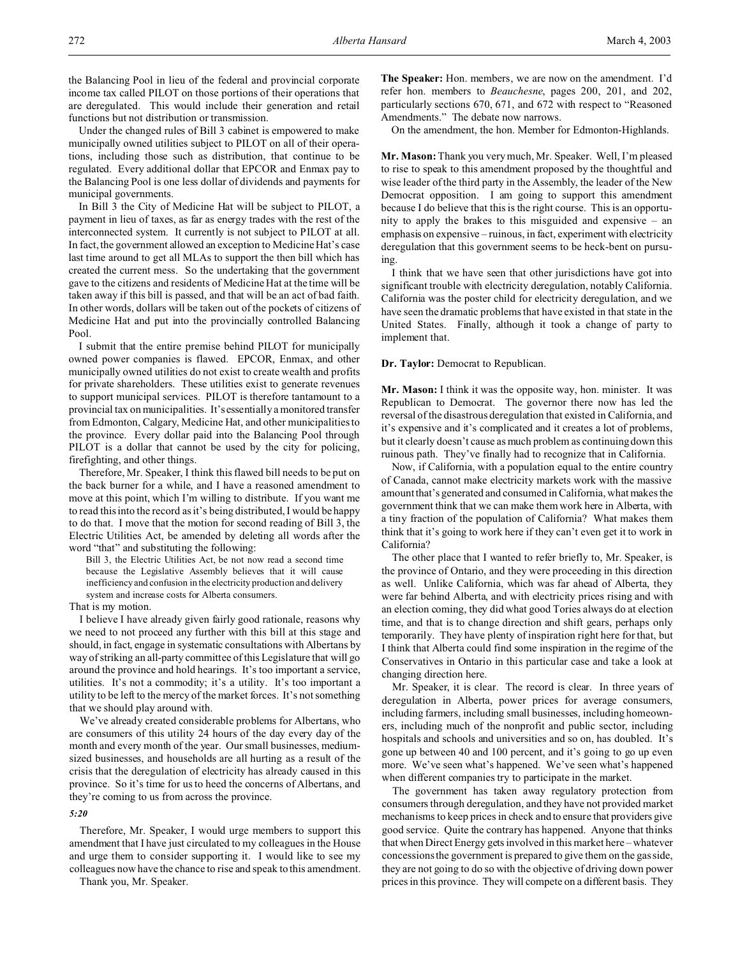the Balancing Pool in lieu of the federal and provincial corporate income tax called PILOT on those portions of their operations that are deregulated. This would include their generation and retail functions but not distribution or transmission.

Under the changed rules of Bill 3 cabinet is empowered to make municipally owned utilities subject to PILOT on all of their operations, including those such as distribution, that continue to be regulated. Every additional dollar that EPCOR and Enmax pay to the Balancing Pool is one less dollar of dividends and payments for municipal governments.

In Bill 3 the City of Medicine Hat will be subject to PILOT, a payment in lieu of taxes, as far as energy trades with the rest of the interconnected system. It currently is not subject to PILOT at all. In fact, the government allowed an exception to Medicine Hat's case last time around to get all MLAs to support the then bill which has created the current mess. So the undertaking that the government gave to the citizens and residents of Medicine Hat at the time will be taken away if this bill is passed, and that will be an act of bad faith. In other words, dollars will be taken out of the pockets of citizens of Medicine Hat and put into the provincially controlled Balancing Pool.

I submit that the entire premise behind PILOT for municipally owned power companies is flawed. EPCOR, Enmax, and other municipally owned utilities do not exist to create wealth and profits for private shareholders. These utilities exist to generate revenues to support municipal services. PILOT is therefore tantamount to a provincial tax on municipalities. It's essentially a monitored transfer from Edmonton, Calgary, Medicine Hat, and other municipalities to the province. Every dollar paid into the Balancing Pool through PILOT is a dollar that cannot be used by the city for policing, firefighting, and other things.

Therefore, Mr. Speaker, I think this flawed bill needs to be put on the back burner for a while, and I have a reasoned amendment to move at this point, which I'm willing to distribute. If you want me to read this into the record as it's being distributed, I would be happy to do that. I move that the motion for second reading of Bill 3, the Electric Utilities Act, be amended by deleting all words after the word "that" and substituting the following:

Bill 3, the Electric Utilities Act, be not now read a second time because the Legislative Assembly believes that it will cause inefficiency and confusion in the electricity production and delivery system and increase costs for Alberta consumers.

That is my motion.

I believe I have already given fairly good rationale, reasons why we need to not proceed any further with this bill at this stage and should, in fact, engage in systematic consultations with Albertans by way of striking an all-party committee of this Legislature that will go around the province and hold hearings. It's too important a service, utilities. It's not a commodity; it's a utility. It's too important a utility to be left to the mercy of the market forces. It's not something that we should play around with.

We've already created considerable problems for Albertans, who are consumers of this utility 24 hours of the day every day of the month and every month of the year. Our small businesses, mediumsized businesses, and households are all hurting as a result of the crisis that the deregulation of electricity has already caused in this province. So it's time for us to heed the concerns of Albertans, and they're coming to us from across the province.

*5:20*

Therefore, Mr. Speaker, I would urge members to support this amendment that I have just circulated to my colleagues in the House and urge them to consider supporting it. I would like to see my colleagues now have the chance to rise and speak to this amendment.

Thank you, Mr. Speaker.

**The Speaker:** Hon. members, we are now on the amendment. I'd refer hon. members to *Beauchesne*, pages 200, 201, and 202, particularly sections 670, 671, and 672 with respect to "Reasoned Amendments." The debate now narrows.

On the amendment, the hon. Member for Edmonton-Highlands.

**Mr. Mason:** Thank you very much, Mr. Speaker. Well, I'm pleased to rise to speak to this amendment proposed by the thoughtful and wise leader of the third party in the Assembly, the leader of the New Democrat opposition. I am going to support this amendment because I do believe that this is the right course. This is an opportunity to apply the brakes to this misguided and expensive – an emphasis on expensive – ruinous, in fact, experiment with electricity deregulation that this government seems to be heck-bent on pursuing.

I think that we have seen that other jurisdictions have got into significant trouble with electricity deregulation, notably California. California was the poster child for electricity deregulation, and we have seen the dramatic problems that have existed in that state in the United States. Finally, although it took a change of party to implement that.

**Dr. Taylor:** Democrat to Republican.

**Mr. Mason:** I think it was the opposite way, hon. minister. It was Republican to Democrat. The governor there now has led the reversal of the disastrous deregulation that existed in California, and it's expensive and it's complicated and it creates a lot of problems, but it clearly doesn't cause as much problem as continuing down this ruinous path. They've finally had to recognize that in California.

Now, if California, with a population equal to the entire country of Canada, cannot make electricity markets work with the massive amount that's generated and consumed in California, what makes the government think that we can make them work here in Alberta, with a tiny fraction of the population of California? What makes them think that it's going to work here if they can't even get it to work in California?

The other place that I wanted to refer briefly to, Mr. Speaker, is the province of Ontario, and they were proceeding in this direction as well. Unlike California, which was far ahead of Alberta, they were far behind Alberta, and with electricity prices rising and with an election coming, they did what good Tories always do at election time, and that is to change direction and shift gears, perhaps only temporarily. They have plenty of inspiration right here for that, but I think that Alberta could find some inspiration in the regime of the Conservatives in Ontario in this particular case and take a look at changing direction here.

Mr. Speaker, it is clear. The record is clear. In three years of deregulation in Alberta, power prices for average consumers, including farmers, including small businesses, including homeowners, including much of the nonprofit and public sector, including hospitals and schools and universities and so on, has doubled. It's gone up between 40 and 100 percent, and it's going to go up even more. We've seen what's happened. We've seen what's happened when different companies try to participate in the market.

The government has taken away regulatory protection from consumers through deregulation, and they have not provided market mechanisms to keep prices in check and to ensure that providers give good service. Quite the contrary has happened. Anyone that thinks that when Direct Energy gets involved in this market here – whatever concessions the government is prepared to give them on the gas side, they are not going to do so with the objective of driving down power prices in this province. They will compete on a different basis. They